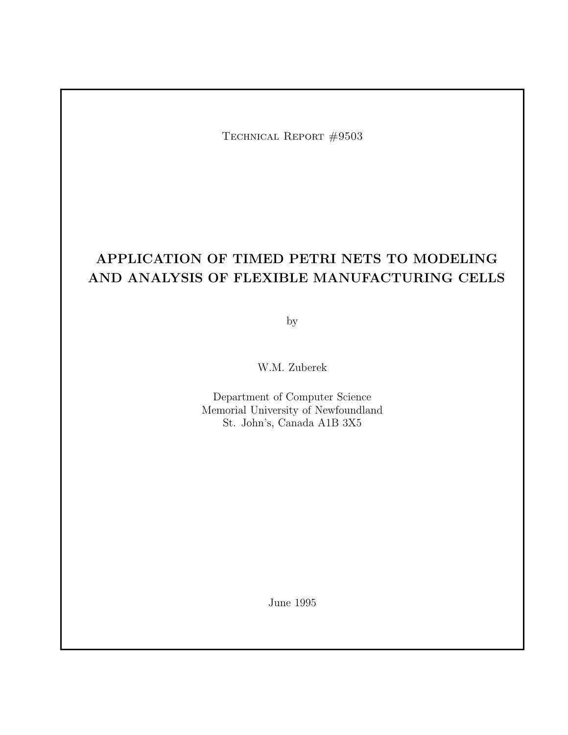Technical Report #9503

# APPLICATION OF TIMED PETRI NETS TO MODELING AND ANALYSIS OF FLEXIBLE MANUFACTURING CELLS

by

W.M. Zuberek

Department of Computer Science Memorial University of Newfoundland St. John's, Canada A1B 3X5

June 1995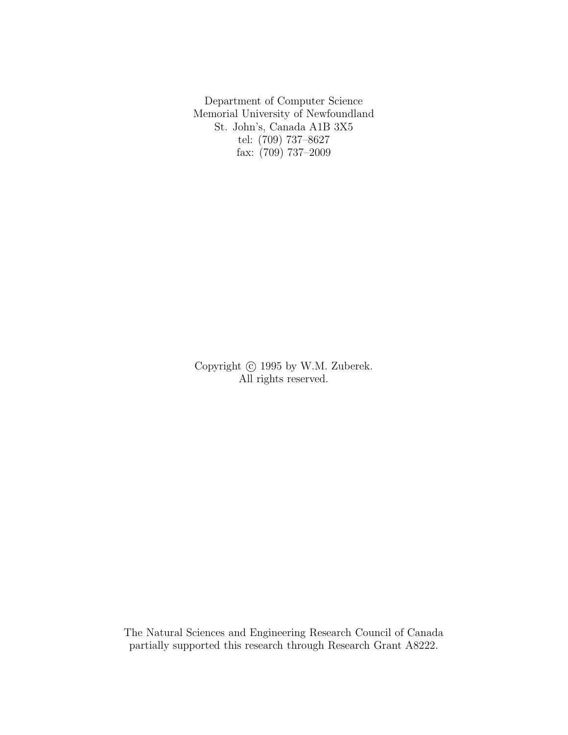Department of Computer Science Memorial University of Newfoundland St. John's, Canada A1B 3X5 tel: (709) 737–8627 fax: (709) 737–2009

Copyright  $\odot$  1995 by W.M. Zuberek. All rights reserved.

The Natural Sciences and Engineering Research Council of Canada partially supported this research through Research Grant A8222.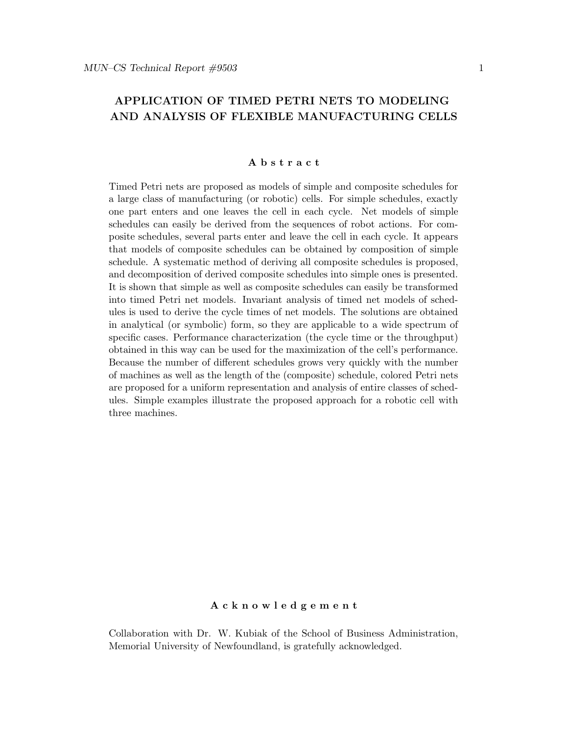# APPLICATION OF TIMED PETRI NETS TO MODELING AND ANALYSIS OF FLEXIBLE MANUFACTURING CELLS

### A b s t r a c t

Timed Petri nets are proposed as models of simple and composite schedules for a large class of manufacturing (or robotic) cells. For simple schedules, exactly one part enters and one leaves the cell in each cycle. Net models of simple schedules can easily be derived from the sequences of robot actions. For composite schedules, several parts enter and leave the cell in each cycle. It appears that models of composite schedules can be obtained by composition of simple schedule. A systematic method of deriving all composite schedules is proposed, and decomposition of derived composite schedules into simple ones is presented. It is shown that simple as well as composite schedules can easily be transformed into timed Petri net models. Invariant analysis of timed net models of schedules is used to derive the cycle times of net models. The solutions are obtained in analytical (or symbolic) form, so they are applicable to a wide spectrum of specific cases. Performance characterization (the cycle time or the throughput) obtained in this way can be used for the maximization of the cell's performance. Because the number of different schedules grows very quickly with the number of machines as well as the length of the (composite) schedule, colored Petri nets are proposed for a uniform representation and analysis of entire classes of schedules. Simple examples illustrate the proposed approach for a robotic cell with three machines.

# A c k n o w l e d g e m e n t

Collaboration with Dr. W. Kubiak of the School of Business Administration, Memorial University of Newfoundland, is gratefully acknowledged.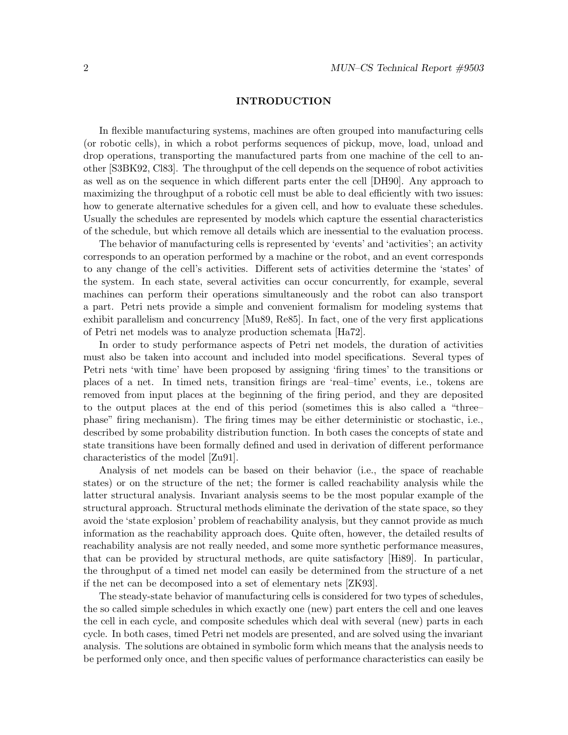#### INTRODUCTION

In flexible manufacturing systems, machines are often grouped into manufacturing cells (or robotic cells), in which a robot performs sequences of pickup, move, load, unload and drop operations, transporting the manufactured parts from one machine of the cell to another [S3BK92, Cl83]. The throughput of the cell depends on the sequence of robot activities as well as on the sequence in which different parts enter the cell [DH90]. Any approach to maximizing the throughput of a robotic cell must be able to deal efficiently with two issues: how to generate alternative schedules for a given cell, and how to evaluate these schedules. Usually the schedules are represented by models which capture the essential characteristics of the schedule, but which remove all details which are inessential to the evaluation process.

The behavior of manufacturing cells is represented by 'events' and 'activities'; an activity corresponds to an operation performed by a machine or the robot, and an event corresponds to any change of the cell's activities. Different sets of activities determine the 'states' of the system. In each state, several activities can occur concurrently, for example, several machines can perform their operations simultaneously and the robot can also transport a part. Petri nets provide a simple and convenient formalism for modeling systems that exhibit parallelism and concurrency [Mu89, Re85]. In fact, one of the very first applications of Petri net models was to analyze production schemata [Ha72].

In order to study performance aspects of Petri net models, the duration of activities must also be taken into account and included into model specifications. Several types of Petri nets 'with time' have been proposed by assigning 'firing times' to the transitions or places of a net. In timed nets, transition firings are 'real–time' events, i.e., tokens are removed from input places at the beginning of the firing period, and they are deposited to the output places at the end of this period (sometimes this is also called a "three– phase" firing mechanism). The firing times may be either deterministic or stochastic, i.e., described by some probability distribution function. In both cases the concepts of state and state transitions have been formally defined and used in derivation of different performance characteristics of the model [Zu91].

Analysis of net models can be based on their behavior (i.e., the space of reachable states) or on the structure of the net; the former is called reachability analysis while the latter structural analysis. Invariant analysis seems to be the most popular example of the structural approach. Structural methods eliminate the derivation of the state space, so they avoid the 'state explosion' problem of reachability analysis, but they cannot provide as much information as the reachability approach does. Quite often, however, the detailed results of reachability analysis are not really needed, and some more synthetic performance measures, that can be provided by structural methods, are quite satisfactory [Hi89]. In particular, the throughput of a timed net model can easily be determined from the structure of a net if the net can be decomposed into a set of elementary nets [ZK93].

The steady-state behavior of manufacturing cells is considered for two types of schedules, the so called simple schedules in which exactly one (new) part enters the cell and one leaves the cell in each cycle, and composite schedules which deal with several (new) parts in each cycle. In both cases, timed Petri net models are presented, and are solved using the invariant analysis. The solutions are obtained in symbolic form which means that the analysis needs to be performed only once, and then specific values of performance characteristics can easily be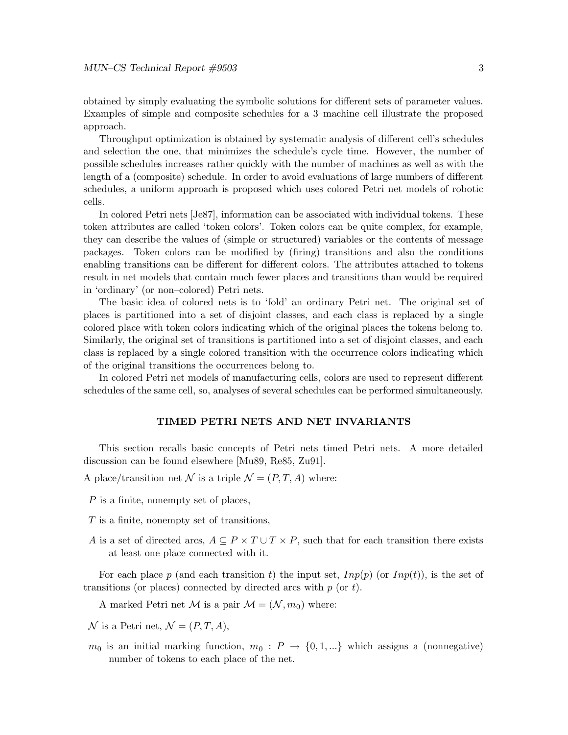obtained by simply evaluating the symbolic solutions for different sets of parameter values. Examples of simple and composite schedules for a 3–machine cell illustrate the proposed approach.

Throughput optimization is obtained by systematic analysis of different cell's schedules and selection the one, that minimizes the schedule's cycle time. However, the number of possible schedules increases rather quickly with the number of machines as well as with the length of a (composite) schedule. In order to avoid evaluations of large numbers of different schedules, a uniform approach is proposed which uses colored Petri net models of robotic cells.

In colored Petri nets [Je87], information can be associated with individual tokens. These token attributes are called 'token colors'. Token colors can be quite complex, for example, they can describe the values of (simple or structured) variables or the contents of message packages. Token colors can be modified by (firing) transitions and also the conditions enabling transitions can be different for different colors. The attributes attached to tokens result in net models that contain much fewer places and transitions than would be required in 'ordinary' (or non–colored) Petri nets.

The basic idea of colored nets is to 'fold' an ordinary Petri net. The original set of places is partitioned into a set of disjoint classes, and each class is replaced by a single colored place with token colors indicating which of the original places the tokens belong to. Similarly, the original set of transitions is partitioned into a set of disjoint classes, and each class is replaced by a single colored transition with the occurrence colors indicating which of the original transitions the occurrences belong to.

In colored Petri net models of manufacturing cells, colors are used to represent different schedules of the same cell, so, analyses of several schedules can be performed simultaneously.

#### TIMED PETRI NETS AND NET INVARIANTS

This section recalls basic concepts of Petri nets timed Petri nets. A more detailed discussion can be found elsewhere [Mu89, Re85, Zu91].

- A place/transition net N is a triple  $\mathcal{N} = (P, T, A)$  where:
- P is a finite, nonempty set of places,
- T is a finite, nonempty set of transitions,
- A is a set of directed arcs,  $A \subseteq P \times T \cup T \times P$ , such that for each transition there exists at least one place connected with it.

For each place p (and each transition t) the input set,  $Inp(p)$  (or  $Inp(t)$ ), is the set of transitions (or places) connected by directed arcs with  $p$  (or  $t$ ).

A marked Petri net M is a pair  $\mathcal{M} = (\mathcal{N}, m_0)$  where:

- $\mathcal N$  is a Petri net,  $\mathcal N = (P, T, A),$
- $m_0$  is an initial marking function,  $m_0 : P \to \{0, 1, ...\}$  which assigns a (nonnegative) number of tokens to each place of the net.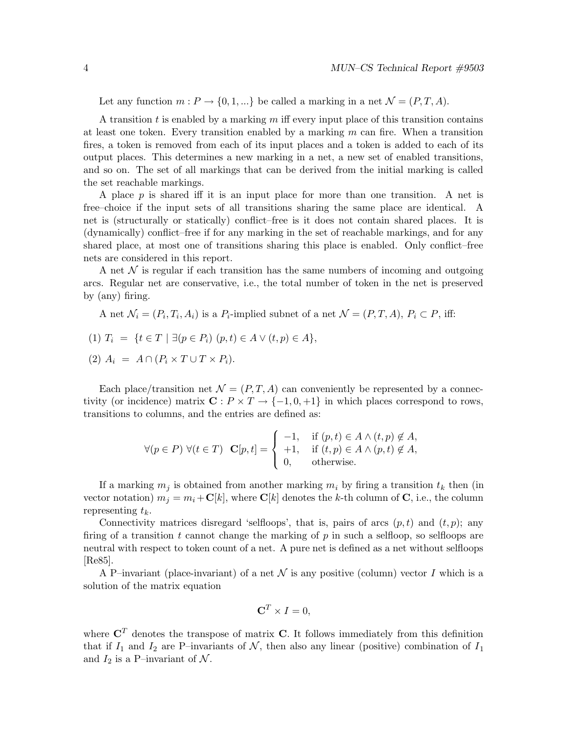Let any function  $m : P \to \{0, 1, ...\}$  be called a marking in a net  $\mathcal{N} = (P, T, A)$ .

A transition t is enabled by a marking  $m$  iff every input place of this transition contains at least one token. Every transition enabled by a marking  $m$  can fire. When a transition fires, a token is removed from each of its input places and a token is added to each of its output places. This determines a new marking in a net, a new set of enabled transitions, and so on. The set of all markings that can be derived from the initial marking is called the set reachable markings.

A place  $p$  is shared iff it is an input place for more than one transition. A net is free–choice if the input sets of all transitions sharing the same place are identical. A net is (structurally or statically) conflict–free is it does not contain shared places. It is (dynamically) conflict–free if for any marking in the set of reachable markings, and for any shared place, at most one of transitions sharing this place is enabled. Only conflict–free nets are considered in this report.

A net  $\mathcal N$  is regular if each transition has the same numbers of incoming and outgoing arcs. Regular net are conservative, i.e., the total number of token in the net is preserved by (any) firing.

A net 
$$
\mathcal{N}_i = (P_i, T_i, A_i)
$$
 is a  $P_i$ -implied subnet of a net  $\mathcal{N} = (P, T, A), P_i \subset P$ , iff:

$$
(1) T_i = \{ t \in T \mid \exists (p \in P_i) (p, t) \in A \lor (t, p) \in A \},
$$

$$
(2) A_i = A \cap (P_i \times T \cup T \times P_i).
$$

Each place/transition net  $\mathcal{N} = (P, T, A)$  can conveniently be represented by a connectivity (or incidence) matrix  $C: P \times T \to \{-1, 0, +1\}$  in which places correspond to rows, transitions to columns, and the entries are defined as:

$$
\forall (p \in P) \ \forall (t \in T) \ \mathbf{C}[p, t] = \begin{cases} -1, & \text{if } (p, t) \in A \land (t, p) \notin A, \\ +1, & \text{if } (t, p) \in A \land (p, t) \notin A, \\ 0, & \text{otherwise.} \end{cases}
$$

If a marking  $m_j$  is obtained from another marking  $m_i$  by firing a transition  $t_k$  then (in vector notation)  $m_j = m_i + \mathbf{C}[k]$ , where  $\mathbf{C}[k]$  denotes the k-th column of **C**, i.e., the column representing  $t_k$ .

Connectivity matrices disregard 'selfloops', that is, pairs of arcs  $(p, t)$  and  $(t, p)$ ; any firing of a transition t cannot change the marking of  $p$  in such a selfloop, so selfloops are neutral with respect to token count of a net. A pure net is defined as a net without selfloops  $|Re85|$ .

A P–invariant (place-invariant) of a net N is any positive (column) vector I which is a solution of the matrix equation

$$
\mathbf{C}^T \times I = 0,
$$

where  $\mathbf{C}^T$  denotes the transpose of matrix  $\mathbf{C}$ . It follows immediately from this definition that if  $I_1$  and  $I_2$  are P-invariants of  $N$ , then also any linear (positive) combination of  $I_1$ and  $I_2$  is a P-invariant of N.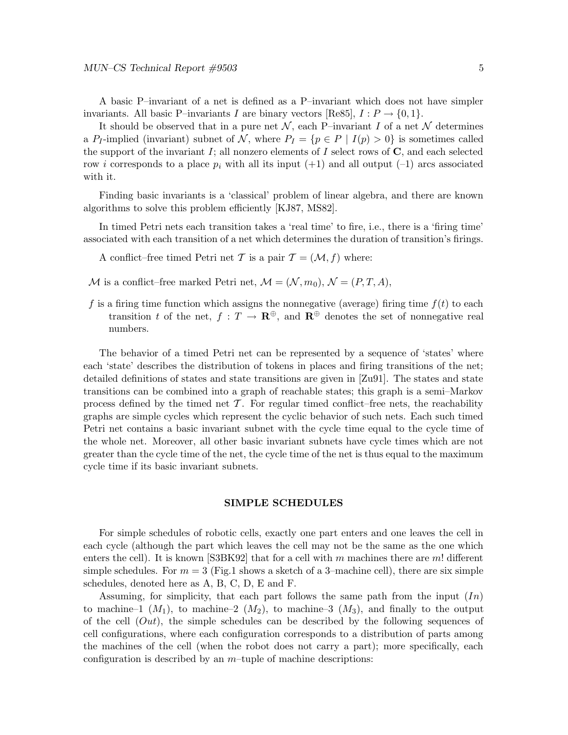A basic P–invariant of a net is defined as a P–invariant which does not have simpler invariants. All basic P–invariants I are binary vectors [Re85],  $I: P \to \{0, 1\}$ .

It should be observed that in a pure net  $\mathcal N$ , each P–invariant I of a net  $\mathcal N$  determines a P<sub>I</sub>-implied (invariant) subnet of N, where  $P_I = \{p \in P \mid I(p) > 0\}$  is sometimes called the support of the invariant  $I$ ; all nonzero elements of  $I$  select rows of  $C$ , and each selected row i corresponds to a place  $p_i$  with all its input (+1) and all output (-1) arcs associated with it.

Finding basic invariants is a 'classical' problem of linear algebra, and there are known algorithms to solve this problem efficiently [KJ87, MS82].

In timed Petri nets each transition takes a 'real time' to fire, i.e., there is a 'firing time' associated with each transition of a net which determines the duration of transition's firings.

- A conflict–free timed Petri net T is a pair  $\mathcal{T} = (\mathcal{M}, f)$  where:
- M is a conflict–free marked Petri net,  $\mathcal{M} = (\mathcal{N}, m_0), \mathcal{N} = (P, T, A),$
- f is a firing time function which assigns the nonnegative (average) firing time  $f(t)$  to each transition t of the net,  $f : T \to \mathbb{R}^{\oplus}$ , and  $\mathbb{R}^{\oplus}$  denotes the set of nonnegative real numbers.

The behavior of a timed Petri net can be represented by a sequence of 'states' where each 'state' describes the distribution of tokens in places and firing transitions of the net; detailed definitions of states and state transitions are given in [Zu91]. The states and state transitions can be combined into a graph of reachable states; this graph is a semi–Markov process defined by the timed net  $\mathcal T$ . For regular timed conflict–free nets, the reachability graphs are simple cycles which represent the cyclic behavior of such nets. Each such timed Petri net contains a basic invariant subnet with the cycle time equal to the cycle time of the whole net. Moreover, all other basic invariant subnets have cycle times which are not greater than the cycle time of the net, the cycle time of the net is thus equal to the maximum cycle time if its basic invariant subnets.

#### SIMPLE SCHEDULES

For simple schedules of robotic cells, exactly one part enters and one leaves the cell in each cycle (although the part which leaves the cell may not be the same as the one which enters the cell). It is known  $[S3BK92]$  that for a cell with m machines there are m! different simple schedules. For  $m = 3$  (Fig.1 shows a sketch of a 3-machine cell), there are six simple schedules, denoted here as A, B, C, D, E and F.

Assuming, for simplicity, that each part follows the same path from the input  $(In)$ to machine–1  $(M_1)$ , to machine–2  $(M_2)$ , to machine–3  $(M_3)$ , and finally to the output of the cell  $(Out)$ , the simple schedules can be described by the following sequences of cell configurations, where each configuration corresponds to a distribution of parts among the machines of the cell (when the robot does not carry a part); more specifically, each configuration is described by an  $m$ –tuple of machine descriptions: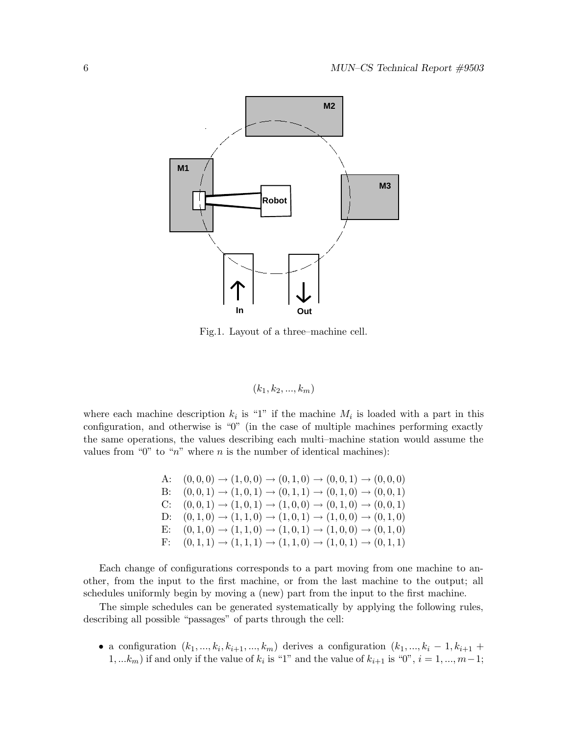

Fig.1. Layout of a three–machine cell.

$$
(k_1, k_2, \ldots, k_m)
$$

where each machine description  $k_i$  is "1" if the machine  $M_i$  is loaded with a part in this configuration, and otherwise is "0" (in the case of multiple machines performing exactly the same operations, the values describing each multi–machine station would assume the values from "0" to " $n$ " where n is the number of identical machines):

| A: $(0,0,0) \rightarrow (1,0,0) \rightarrow (0,1,0) \rightarrow (0,0,1) \rightarrow (0,0,0)$ |
|----------------------------------------------------------------------------------------------|
| B: $(0,0,1) \rightarrow (1,0,1) \rightarrow (0,1,1) \rightarrow (0,1,0) \rightarrow (0,0,1)$ |
| C: $(0,0,1) \rightarrow (1,0,1) \rightarrow (1,0,0) \rightarrow (0,1,0) \rightarrow (0,0,1)$ |
| D: $(0,1,0) \rightarrow (1,1,0) \rightarrow (1,0,1) \rightarrow (1,0,0) \rightarrow (0,1,0)$ |
| E: $(0,1,0) \rightarrow (1,1,0) \rightarrow (1,0,1) \rightarrow (1,0,0) \rightarrow (0,1,0)$ |
| F: $(0,1,1) \rightarrow (1,1,1) \rightarrow (1,1,0) \rightarrow (1,0,1) \rightarrow (0,1,1)$ |

Each change of configurations corresponds to a part moving from one machine to another, from the input to the first machine, or from the last machine to the output; all schedules uniformly begin by moving a (new) part from the input to the first machine.

The simple schedules can be generated systematically by applying the following rules, describing all possible "passages" of parts through the cell:

• a configuration  $(k_1, ..., k_i, k_{i+1}, ..., k_m)$  derives a configuration  $(k_1, ..., k_i - 1, k_{i+1} +$ 1, ... $k_m$ ) if and only if the value of  $k_i$  is "1" and the value of  $k_{i+1}$  is "0",  $i = 1, ..., m-1$ ;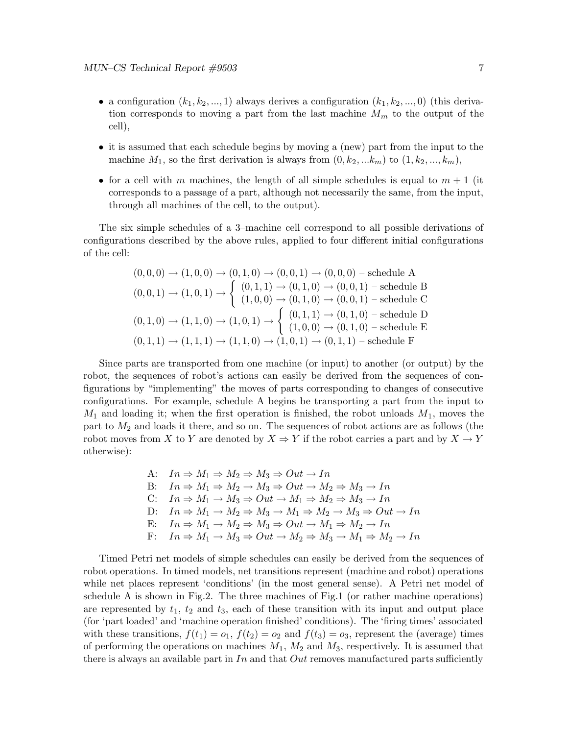- a configuration  $(k_1, k_2, ..., 1)$  always derives a configuration  $(k_1, k_2, ..., 0)$  (this derivation corresponds to moving a part from the last machine  $M_m$  to the output of the cell),
- it is assumed that each schedule begins by moving a (new) part from the input to the machine  $M_1$ , so the first derivation is always from  $(0, k_2, ... k_m)$  to  $(1, k_2, ..., k_m)$ ,
- for a cell with m machines, the length of all simple schedules is equal to  $m + 1$  (it corresponds to a passage of a part, although not necessarily the same, from the input, through all machines of the cell, to the output).

The six simple schedules of a 3–machine cell correspond to all possible derivations of configurations described by the above rules, applied to four different initial configurations of the cell:

$$
(0,0,0) \rightarrow (1,0,0) \rightarrow (0,1,0) \rightarrow (0,0,1) \rightarrow (0,0,0) - \text{schedule A}
$$
  
\n
$$
(0,0,1) \rightarrow (1,0,1) \rightarrow \begin{cases} (0,1,1) \rightarrow (0,1,0) \rightarrow (0,0,1) - \text{ schedule B} \\ (1,0,0) \rightarrow (0,1,0) \rightarrow (0,0,1) - \text{ schedule C} \end{cases}
$$
  
\n
$$
(0,1,0) \rightarrow (1,1,0) \rightarrow (1,0,1) \rightarrow \begin{cases} (0,1,1) \rightarrow (0,1,0) - \text{ schedule D} \\ (1,0,0) \rightarrow (0,1,0) - \text{ schedule E} \end{cases}
$$
  
\n
$$
(0,1,1) \rightarrow (1,1,1) \rightarrow (1,1,0) \rightarrow (1,0,1) \rightarrow (0,1,1) - \text{ schedule F}
$$

Since parts are transported from one machine (or input) to another (or output) by the robot, the sequences of robot's actions can easily be derived from the sequences of configurations by "implementing" the moves of parts corresponding to changes of consecutive configurations. For example, schedule A begins be transporting a part from the input to  $M_1$  and loading it; when the first operation is finished, the robot unloads  $M_1$ , moves the part to  $M_2$  and loads it there, and so on. The sequences of robot actions are as follows (the robot moves from X to Y are denoted by  $X \Rightarrow Y$  if the robot carries a part and by  $X \to Y$ otherwise):

A: 
$$
In \Rightarrow M_1 \Rightarrow M_2 \Rightarrow M_3 \Rightarrow Out \rightarrow In
$$
  
\nB:  $In \Rightarrow M_1 \Rightarrow M_2 \rightarrow M_3 \Rightarrow Out \rightarrow M_2 \Rightarrow M_3 \rightarrow In$   
\nC:  $In \Rightarrow M_1 \rightarrow M_3 \Rightarrow Out \rightarrow M_1 \Rightarrow M_2 \Rightarrow M_3 \rightarrow In$   
\nD:  $In \Rightarrow M_1 \rightarrow M_2 \Rightarrow M_3 \rightarrow M_1 \Rightarrow M_2 \rightarrow M_3 \Rightarrow Out \rightarrow In$   
\nE:  $In \Rightarrow M_1 \rightarrow M_2 \Rightarrow M_3 \Rightarrow Out \rightarrow M_1 \Rightarrow M_2 \rightarrow In$   
\nF:  $In \Rightarrow M_1 \rightarrow M_3 \Rightarrow Out \rightarrow M_2 \Rightarrow M_3 \rightarrow M_1 \Rightarrow M_2 \rightarrow In$ 

Timed Petri net models of simple schedules can easily be derived from the sequences of robot operations. In timed models, net transitions represent (machine and robot) operations while net places represent 'conditions' (in the most general sense). A Petri net model of schedule A is shown in Fig.2. The three machines of Fig.1 (or rather machine operations) are represented by  $t_1$ ,  $t_2$  and  $t_3$ , each of these transition with its input and output place (for 'part loaded' and 'machine operation finished' conditions). The 'firing times' associated with these transitions,  $f(t_1) = o_1$ ,  $f(t_2) = o_2$  and  $f(t_3) = o_3$ , represent the (average) times of performing the operations on machines  $M_1$ ,  $M_2$  and  $M_3$ , respectively. It is assumed that there is always an available part in In and that Out removes manufactured parts sufficiently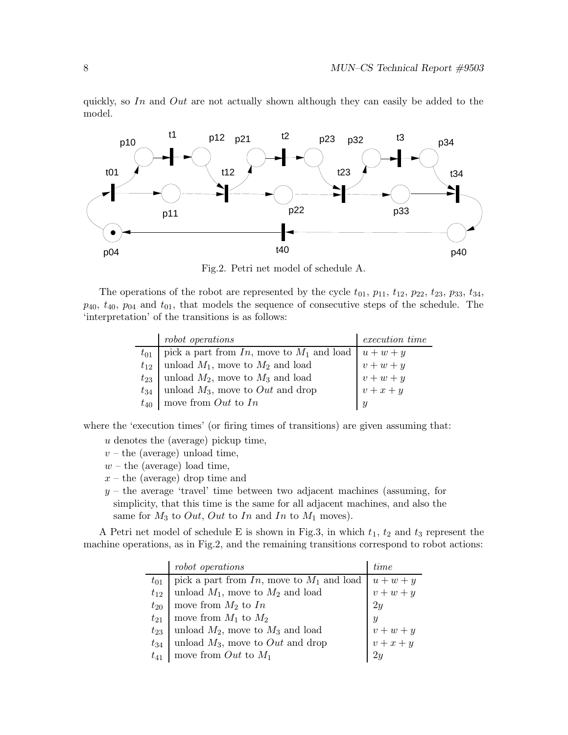

quickly, so In and Out are not actually shown although they can easily be added to the model.

Fig.2. Petri net model of schedule A.

The operations of the robot are represented by the cycle  $t_{01}$ ,  $p_{11}$ ,  $t_{12}$ ,  $p_{22}$ ,  $t_{23}$ ,  $p_{33}$ ,  $t_{34}$ ,  $p_{40}$ ,  $t_{40}$ ,  $p_{04}$  and  $t_{01}$ , that models the sequence of consecutive steps of the schedule. The 'interpretation' of the transitions is as follows:

|          | robot operations                                                                                                        | execution time                            |
|----------|-------------------------------------------------------------------------------------------------------------------------|-------------------------------------------|
| $t_{01}$ |                                                                                                                         |                                           |
| $t_{12}$ | pick a part from $In$ , move to $M_1$ and load $\begin{array}{ c c } u+w+y \text{unload } M_1$ , move to $M_2$ and load |                                           |
|          | $t_{23}$ unload $M_2$ , move to $M_3$ and load                                                                          | $v + w + y$<br>$v + w + y$<br>$v + x + y$ |
| $t_{34}$ | unload $M_3$ , move to $Out$ and drop                                                                                   |                                           |
| $t_{40}$ | move from $Out$ to $In$                                                                                                 | $\boldsymbol{y}$                          |

where the 'execution times' (or firing times of transitions) are given assuming that:

- u denotes the (average) pickup time,
- $v$  the (average) unload time,
- $w$  the (average) load time,
- $x$  the (average) drop time and
- $y$  the average 'travel' time between two adjacent machines (assuming, for simplicity, that this time is the same for all adjacent machines, and also the same for  $M_3$  to  $Out$ ,  $Out$  to  $In$  and  $In$  to  $M_1$  moves).

A Petri net model of schedule E is shown in Fig.3, in which  $t_1$ ,  $t_2$  and  $t_3$  represent the machine operations, as in Fig.2, and the remaining transitions correspond to robot actions:

|          | robot operations                               | time                       |
|----------|------------------------------------------------|----------------------------|
| $t_{01}$ | pick a part from $In$ , move to $M_1$ and load |                            |
| $t_{12}$ | unload $M_1$ , move to $M_2$ and load          | $u + w + y$<br>$v + w + y$ |
| $t_{20}$ | move from $M_2$ to $In$                        | 2y                         |
| $t_{21}$ | move from $M_1$ to $M_2$                       | $\boldsymbol{y}$           |
| $t_{23}$ | unload $M_2$ , move to $M_3$ and load          | $v + w + y$<br>$v + x + y$ |
| $t_{34}$ | unload $M_3$ , move to <i>Out</i> and drop     |                            |
| $t_{41}$ | move from Out to $M_1$                         | 2y                         |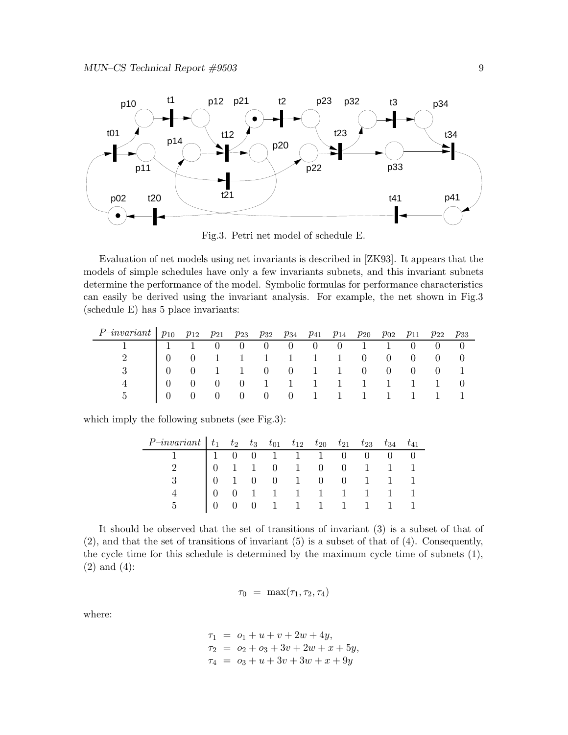

Fig.3. Petri net model of schedule E.

Evaluation of net models using net invariants is described in [ZK93]. It appears that the models of simple schedules have only a few invariants subnets, and this invariant subnets determine the performance of the model. Symbolic formulas for performance characteristics can easily be derived using the invariant analysis. For example, the net shown in Fig.3 (schedule E) has 5 place invariants:

| <i>P</i> -invariant   $p_{10}$ $p_{12}$ $p_{21}$ $p_{23}$ $p_{32}$ $p_{34}$ $p_{41}$ $p_{14}$ $p_{20}$ $p_{02}$ $p_{11}$ $p_{22}$ $p_{33}$ |  |  |  |                                                                                                     |  |  |  |
|--------------------------------------------------------------------------------------------------------------------------------------------|--|--|--|-----------------------------------------------------------------------------------------------------|--|--|--|
|                                                                                                                                            |  |  |  | $1 \quad 1 \quad 0 \quad 0 \quad 0 \quad 0 \quad 0 \quad 0 \quad 1 \quad 1 \quad 0 \quad 0 \quad 0$ |  |  |  |
|                                                                                                                                            |  |  |  |                                                                                                     |  |  |  |
|                                                                                                                                            |  |  |  |                                                                                                     |  |  |  |
|                                                                                                                                            |  |  |  | 0 0 0 0 1 1 1 1 1 1 1 1 0                                                                           |  |  |  |
| $5 -$                                                                                                                                      |  |  |  | 0 0 0 0 0 0 1 1 1 1 1 1 1                                                                           |  |  |  |

which imply the following subnets (see Fig.3):

| <i>P</i> -invariant $t_1$ $t_2$ $t_3$ $t_{01}$ $t_{12}$ $t_{20}$ $t_{21}$ $t_{23}$ $t_{34}$ $t_{41}$ |  |                                                                                                                                                                                                                                                        |  |  |  |
|------------------------------------------------------------------------------------------------------|--|--------------------------------------------------------------------------------------------------------------------------------------------------------------------------------------------------------------------------------------------------------|--|--|--|
|                                                                                                      |  |                                                                                                                                                                                                                                                        |  |  |  |
|                                                                                                      |  |                                                                                                                                                                                                                                                        |  |  |  |
|                                                                                                      |  |                                                                                                                                                                                                                                                        |  |  |  |
|                                                                                                      |  |                                                                                                                                                                                                                                                        |  |  |  |
|                                                                                                      |  | $\begin{array}{cccccccccccc} 1 & 0 & 0 & 1 & 1 & 1 & 0 & 0 & 0 & 0 \\ 0 & 1 & 1 & 0 & 1 & 0 & 0 & 1 & 1 & 1 \\ 0 & 1 & 0 & 0 & 1 & 0 & 0 & 1 & 1 & 1 \\ 0 & 0 & 1 & 1 & 1 & 1 & 1 & 1 & 1 & 1 \\ 0 & 0 & 0 & 1 & 1 & 1 & 1 & 1 & 1 & 1 \\ \end{array}$ |  |  |  |

It should be observed that the set of transitions of invariant (3) is a subset of that of (2), and that the set of transitions of invariant (5) is a subset of that of (4). Consequently, the cycle time for this schedule is determined by the maximum cycle time of subnets (1), (2) and (4):

$$
\tau_0 = \max(\tau_1, \tau_2, \tau_4)
$$

where:

$$
\tau_1 = o_1 + u + v + 2w + 4y,\n\tau_2 = o_2 + o_3 + 3v + 2w + x + 5y,\n\tau_4 = o_3 + u + 3v + 3w + x + 9y
$$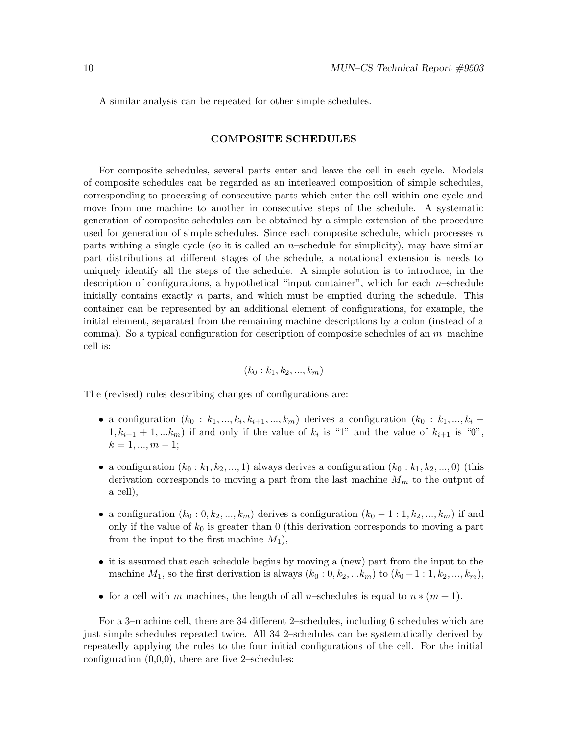A similar analysis can be repeated for other simple schedules.

#### COMPOSITE SCHEDULES

For composite schedules, several parts enter and leave the cell in each cycle. Models of composite schedules can be regarded as an interleaved composition of simple schedules, corresponding to processing of consecutive parts which enter the cell within one cycle and move from one machine to another in consecutive steps of the schedule. A systematic generation of composite schedules can be obtained by a simple extension of the procedure used for generation of simple schedules. Since each composite schedule, which processes  $n$ parts withing a single cycle (so it is called an  $n$ -schedule for simplicity), may have similar part distributions at different stages of the schedule, a notational extension is needs to uniquely identify all the steps of the schedule. A simple solution is to introduce, in the description of configurations, a hypothetical "input container", which for each  $n$ –schedule initially contains exactly  $n$  parts, and which must be emptied during the schedule. This container can be represented by an additional element of configurations, for example, the initial element, separated from the remaining machine descriptions by a colon (instead of a comma). So a typical configuration for description of composite schedules of an  $m$ –machine cell is:

$$
(k_0: k_1, k_2, ..., k_m)
$$

The (revised) rules describing changes of configurations are:

- a configuration  $(k_0 : k_1, ..., k_i, k_{i+1}, ..., k_m)$  derives a configuration  $(k_0 : k_1, ..., k_i 1, k_{i+1} + 1, \ldots k_m$  if and only if the value of  $k_i$  is "1" and the value of  $k_{i+1}$  is "0",  $k = 1, ..., m - 1;$
- a configuration  $(k_0 : k_1, k_2, ..., 1)$  always derives a configuration  $(k_0 : k_1, k_2, ..., 0)$  (this derivation corresponds to moving a part from the last machine  $M_m$  to the output of a cell),
- a configuration  $(k_0:0, k_2, ..., k_m)$  derives a configuration  $(k_0 1: 1, k_2, ..., k_m)$  if and only if the value of  $k_0$  is greater than 0 (this derivation corresponds to moving a part from the input to the first machine  $M_1$ ),
- it is assumed that each schedule begins by moving a (new) part from the input to the machine  $M_1$ , so the first derivation is always  $(k_0 : 0, k_2, ... k_m)$  to  $(k_0 - 1 : 1, k_2, ..., k_m)$ ,
- for a cell with m machines, the length of all n–schedules is equal to  $n * (m + 1)$ .

For a 3–machine cell, there are 34 different 2–schedules, including 6 schedules which are just simple schedules repeated twice. All 34 2–schedules can be systematically derived by repeatedly applying the rules to the four initial configurations of the cell. For the initial configuration  $(0,0,0)$ , there are five 2–schedules: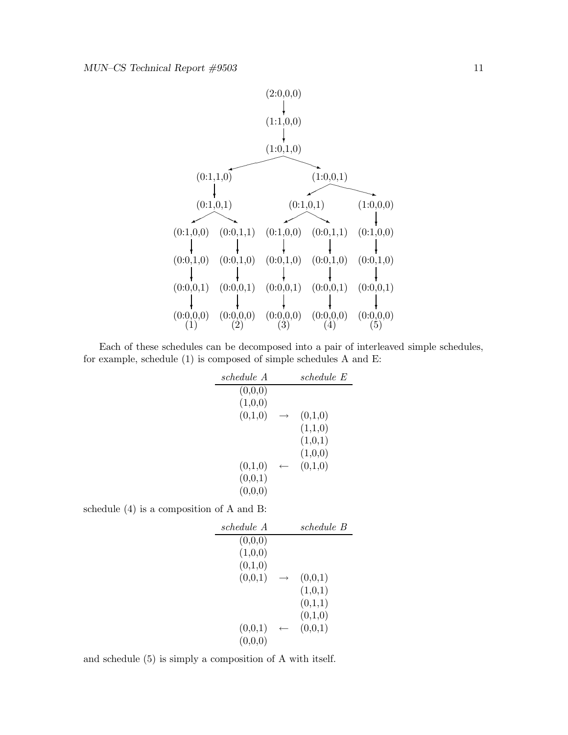

Each of these schedules can be decomposed into a pair of interleaved simple schedules, for example, schedule (1) is composed of simple schedules A and E:

| schedule A |               | schedule E |
|------------|---------------|------------|
| (0,0,0)    |               |            |
| (1,0,0)    |               |            |
| (0,1,0)    | $\rightarrow$ | (0,1,0)    |
|            |               | (1,1,0)    |
|            |               | (1,0,1)    |
|            |               | (1,0,0)    |
| (0,1,0)    |               | (0,1,0)    |
| (0,0,1)    |               |            |
| (0,0,0)    |               |            |

schedule (4) is a composition of A and B:

| $\emph{schedule A}$ |   | schedule B |
|---------------------|---|------------|
| (0,0,0)             |   |            |
| (1,0,0)             |   |            |
| (0,1,0)             |   |            |
| (0,0,1)             | → | (0,0,1)    |
|                     |   | (1,0,1)    |
|                     |   | (0,1,1)    |
|                     |   | (0,1,0)    |
| (0,0,1)             |   | (0,0,1)    |
| (0,0,0)             |   |            |

and schedule (5) is simply a composition of A with itself.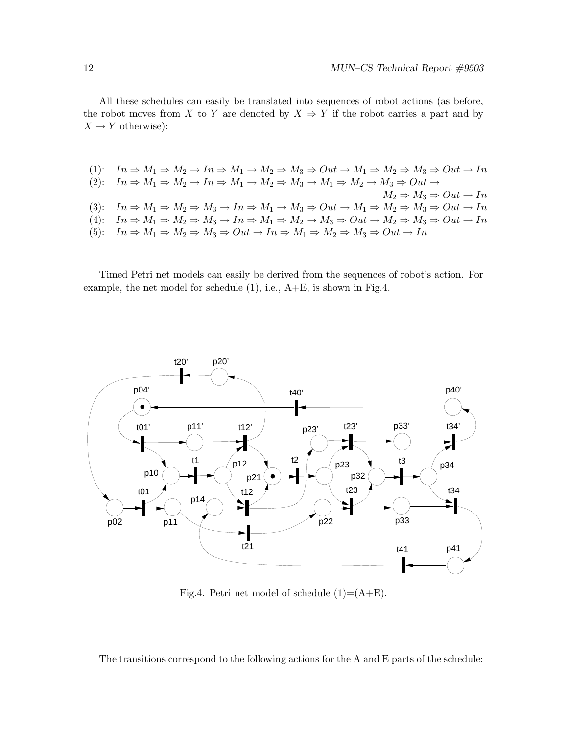All these schedules can easily be translated into sequences of robot actions (as before, the robot moves from X to Y are denoted by  $X \Rightarrow Y$  if the robot carries a part and by  $X \rightarrow Y$  otherwise):

(1): 
$$
In \Rightarrow M_1 \Rightarrow M_2 \rightarrow In \Rightarrow M_1 \rightarrow M_2 \Rightarrow M_3 \Rightarrow Out \rightarrow M_1 \Rightarrow M_2 \Rightarrow M_3 \Rightarrow Out \rightarrow In
$$
  
\n(2):  $In \Rightarrow M_1 \Rightarrow M_2 \rightarrow In \Rightarrow M_1 \rightarrow M_2 \Rightarrow M_3 \rightarrow M_1 \Rightarrow M_2 \rightarrow M_3 \Rightarrow Out \rightarrow In$   
\n(3):  $In \Rightarrow M_1 \Rightarrow M_2 \Rightarrow M_3 \rightarrow In \Rightarrow M_1 \rightarrow M_3 \Rightarrow Out \rightarrow M_1 \Rightarrow M_2 \Rightarrow M_3 \Rightarrow Out \rightarrow In$   
\n(4):  $In \Rightarrow M_1 \Rightarrow M_2 \Rightarrow M_3 \rightarrow In \Rightarrow M_1 \Rightarrow M_2 \rightarrow M_3 \Rightarrow Out \rightarrow M_2 \Rightarrow M_3 \Rightarrow Out \rightarrow In$   
\n(5):  $In \Rightarrow M_1 \Rightarrow M_2 \Rightarrow M_3 \Rightarrow Out \rightarrow In \Rightarrow M_1 \Rightarrow M_2 \Rightarrow M_3 \Rightarrow Out \rightarrow In$ 

Timed Petri net models can easily be derived from the sequences of robot's action. For example, the net model for schedule  $(1)$ , i.e.,  $A+E$ , is shown in Fig.4.



Fig.4. Petri net model of schedule  $(1)=(A+E)$ .

The transitions correspond to the following actions for the A and E parts of the schedule: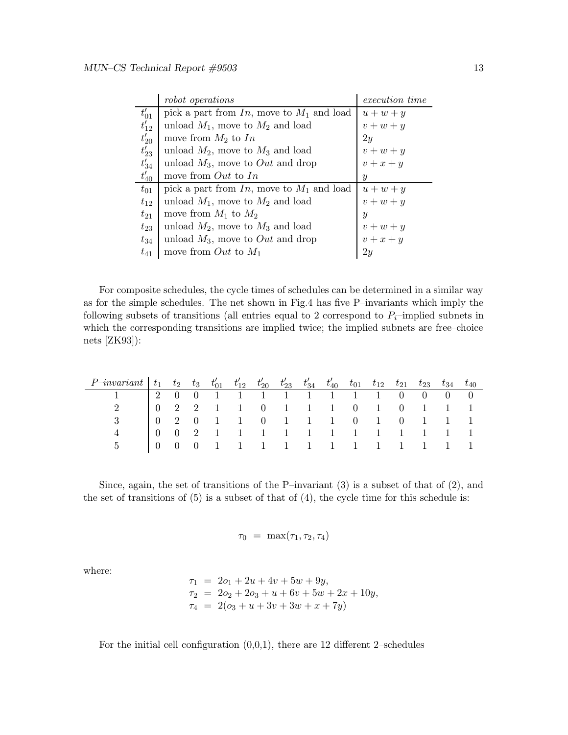|           | robot operations                               | <i>execution</i> time |
|-----------|------------------------------------------------|-----------------------|
| $t_{01}'$ | pick a part from $In$ , move to $M_1$ and load | $u + w + y$           |
| $t_{12}'$ | unload $M_1$ , move to $M_2$ and load          | $v + w + y$           |
| $t'_{20}$ | move from $M_2$ to In                          | 2y                    |
| $t'_{23}$ | unload $M_2$ , move to $M_3$ and load          | $v + w + y$           |
| $t'_{34}$ | unload $M_3$ , move to Out and drop            | $v + x + y$           |
| $t'_{40}$ | move from $Out$ to In                          | $\boldsymbol{y}$      |
| $t_{01}$  | pick a part from $In$ , move to $M_1$ and load | $u + w + y$           |
| $t_{12}$  | unload $M_1$ , move to $M_2$ and load          | $v + w + y$           |
| $t_{21}$  | move from $M_1$ to $M_2$                       | $\boldsymbol{y}$      |
| $t_{23}$  | unload $M_2$ , move to $M_3$ and load          | $v + w + y$           |
| $t_{34}$  | unload $M_3$ , move to Out and drop            | $v + x + y$           |
| $t_{41}$  | move from Out to $M_1$                         | 2y                    |

For composite schedules, the cycle times of schedules can be determined in a similar way as for the simple schedules. The net shown in Fig.4 has five P–invariants which imply the following subsets of transitions (all entries equal to 2 correspond to  $P_i$ –implied subnets in which the corresponding transitions are implied twice; the implied subnets are free–choice nets [ZK93]):

| <i>P</i> -invariant $\begin{vmatrix} t_1 & t_2 & t_3 & t'_{01} & t'_{12} & t'_{20} & t'_{23} & t'_{34} & t'_{40} & t_{01} & t_{12} & t_{21} & t_{23} & t_{34} & t_{40} \end{vmatrix}$ |  |  |  |  |  |  |  |  |
|---------------------------------------------------------------------------------------------------------------------------------------------------------------------------------------|--|--|--|--|--|--|--|--|
| $1 \t 2 \t 0 \t 0 \t 1 \t 1 \t 1 \t 1 \t 1 \t 1 \t 1 \t 0 \t 0 \t 0 \t 0$                                                                                                             |  |  |  |  |  |  |  |  |
|                                                                                                                                                                                       |  |  |  |  |  |  |  |  |
|                                                                                                                                                                                       |  |  |  |  |  |  |  |  |
|                                                                                                                                                                                       |  |  |  |  |  |  |  |  |
|                                                                                                                                                                                       |  |  |  |  |  |  |  |  |

Since, again, the set of transitions of the P–invariant (3) is a subset of that of (2), and the set of transitions of  $(5)$  is a subset of that of  $(4)$ , the cycle time for this schedule is:

$$
\tau_0 = \max(\tau_1, \tau_2, \tau_4)
$$

where:

$$
\tau_1 = 2o_1 + 2u + 4v + 5w + 9y,
$$
  
\n
$$
\tau_2 = 2o_2 + 2o_3 + u + 6v + 5w + 2x + 10y,
$$
  
\n
$$
\tau_4 = 2(o_3 + u + 3v + 3w + x + 7y)
$$

For the initial cell configuration  $(0,0,1)$ , there are 12 different 2–schedules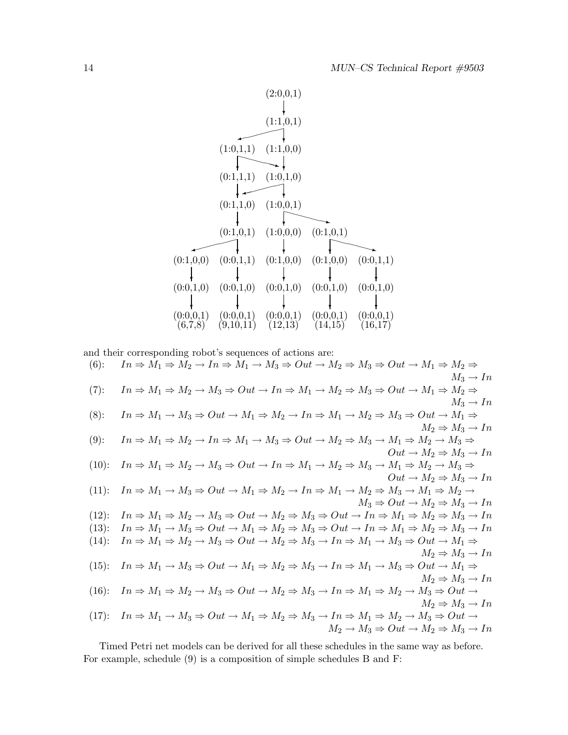

and their corresponding robot's sequences of actions are:

(6):  $In \Rightarrow M_1 \Rightarrow M_2 \rightarrow In \Rightarrow M_1 \rightarrow M_3 \Rightarrow Out \rightarrow M_2 \Rightarrow M_3 \Rightarrow Out \rightarrow M_1 \Rightarrow M_2 \Rightarrow M_2 \Rightarrow IM_3 \Rightarrow In \Rightarrow M_3 \Rightarrow In \Rightarrow M_3 \Rightarrow In \Rightarrow M_3 \Rightarrow In \Rightarrow M_3 \Rightarrow In \Rightarrow M_3 \Rightarrow In \Rightarrow M_3 \Rightarrow In \Rightarrow M_3 \Rightarrow In \Rightarrow M_3 \Rightarrow In \Rightarrow M_3 \Rightarrow In \Rightarrow M_3 \Rightarrow In \Rightarrow M_3 \Rightarrow In \Rightarrow M_3 \Rightarrow In \Rightarrow M_3 \Rightarrow In \Rightarrow M_3 \Rightarrow In \Rightarrow M_3 \Rightarrow In \Rightarrow M_3 \Rightarrow In \Rightarrow M_3 \Rightarrow In \Rightarrow M_3 \Rightarrow In \Rightarrow M_3 \Rightarrow In$  $M_3 \to In$ (7):  $In \Rightarrow M_1 \Rightarrow M_2 \rightarrow M_3 \Rightarrow Out \rightarrow In \Rightarrow M_1 \rightarrow M_2 \Rightarrow M_3 \Rightarrow Out \rightarrow M_1 \Rightarrow M_2 \Rightarrow$  $M_3 \to In$ (8):  $In \Rightarrow M_1 \to M_3 \Rightarrow Out \to M_1 \Rightarrow M_2 \to In \Rightarrow M_1 \to M_2 \Rightarrow M_3 \Rightarrow Out \to M_1 \Rightarrow M_3 \Rightarrow In \Rightarrow M_2 \Rightarrow M_3 \Rightarrow In \Rightarrow M_3 \Rightarrow In \Rightarrow M_3 \Rightarrow In \Rightarrow M_3 \Rightarrow In \Rightarrow M_3 \Rightarrow In \Rightarrow M_3 \Rightarrow In \Rightarrow M_3 \Rightarrow In \Rightarrow M_3 \Rightarrow In \Rightarrow M_3 \Rightarrow In \Rightarrow M_3 \Rightarrow In \Rightarrow M_3 \Rightarrow In \Rightarrow M_3 \Rightarrow In \Rightarrow M_3 \Rightarrow In \Rightarrow M_3 \Rightarrow In \Rightarrow M_3 \Rightarrow In \Rightarrow M_3 \Rightarrow In \Rightarrow M_3 \Rightarrow In \Rightarrow M_3 \Rightarrow In \Rightarrow M_3 \Rightarrow In$  $M_2 \Rightarrow M_3 \rightarrow In$ (9):  $In \Rightarrow M_1 \Rightarrow M_2 \rightarrow In \Rightarrow M_1 \rightarrow M_3 \Rightarrow Out \rightarrow M_2 \Rightarrow M_3 \rightarrow M_1 \Rightarrow M_2 \rightarrow M_3 \Rightarrow$  $Out \to M_2 \Rightarrow M_3 \to In$ (10):  $In \Rightarrow M_1 \Rightarrow M_2 \rightarrow M_3 \Rightarrow Out \rightarrow In \Rightarrow M_1 \rightarrow M_2 \Rightarrow M_3 \rightarrow M_1 \Rightarrow M_2 \rightarrow M_3 \Rightarrow$  $Out \to M_2 \Rightarrow M_3 \to In$ (11):  $In \Rightarrow M_1 \to M_3 \Rightarrow Out \to M_1 \Rightarrow M_2 \to In \Rightarrow M_1 \to M_2 \Rightarrow M_3 \to M_1 \Rightarrow M_2 \to M_2$  $M_3 \Rightarrow Out \rightarrow M_2 \Rightarrow M_3 \rightarrow In$ (12):  $In \Rightarrow M_1 \Rightarrow M_2 \rightarrow M_3 \Rightarrow Out \rightarrow M_2 \Rightarrow M_3 \Rightarrow Out \rightarrow In \Rightarrow M_1 \Rightarrow M_2 \Rightarrow M_3 \rightarrow In$ (13):  $In \Rightarrow M_1 \to M_3 \Rightarrow Out \to M_1 \Rightarrow M_2 \Rightarrow M_3 \Rightarrow Out \to In \Rightarrow M_1 \Rightarrow M_2 \Rightarrow M_3 \to In$ (14): In ⇒ M<sup>1</sup> ⇒ M<sup>2</sup> → M<sup>3</sup> ⇒ Out → M<sup>2</sup> ⇒ M<sup>3</sup> → In ⇒ M<sup>1</sup> → M<sup>3</sup> ⇒ Out → M<sup>1</sup> ⇒  $M_2 \Rightarrow M_3 \rightarrow In$ (15):  $In \Rightarrow M_1 \to M_3 \Rightarrow Out \to M_1 \Rightarrow M_2 \Rightarrow M_3 \to In \Rightarrow M_1 \to M_3 \Rightarrow Out \to M_1 \Rightarrow$  $M_2 \Rightarrow M_3 \rightarrow In$ (16):  $In \Rightarrow M_1 \Rightarrow M_2 \rightarrow M_3 \Rightarrow Out \rightarrow M_2 \Rightarrow M_3 \rightarrow In \Rightarrow M_1 \Rightarrow M_2 \rightarrow M_3 \Rightarrow Out \rightarrow$  $M_2 \Rightarrow M_3 \rightarrow In$ (17):  $In \Rightarrow M_1 \rightarrow M_3 \Rightarrow Out \rightarrow M_1 \Rightarrow M_2 \Rightarrow M_3 \rightarrow In \Rightarrow M_1 \Rightarrow M_2 \rightarrow M_3 \Rightarrow Out \rightarrow$  $M_2 \to M_3 \Rightarrow Out \to M_2 \Rightarrow M_3 \to In$ 

Timed Petri net models can be derived for all these schedules in the same way as before. For example, schedule (9) is a composition of simple schedules B and F: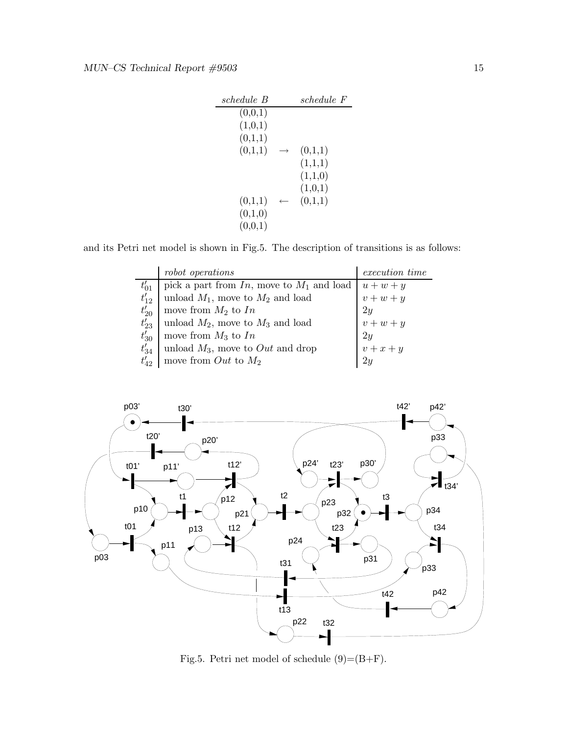| schedule B | schedule F |
|------------|------------|
| (0,0,1)    |            |
| (1,0,1)    |            |
| (0,1,1)    |            |
| (0,1,1)    | (0,1,1)    |
|            | (1,1,1)    |
|            | (1,1,0)    |
|            | (1,0,1)    |
| (0,1,1)    | (0,1,1)    |
| (0,1,0)    |            |
| (0,0,1)    |            |

and its Petri net model is shown in Fig.5. The description of transitions is as follows:

|           | robot operations                               | <i>execution</i> time |
|-----------|------------------------------------------------|-----------------------|
| $t_{01}$  | pick a part from $In$ , move to $M_1$ and load | $u + w + y$           |
| $t_{12}'$ | unload $M_1$ , move to $M_2$ and load          | $v + w + y$           |
| $t'_{20}$ | move from $M_2$ to In                          | 2y                    |
| $t'_{23}$ | unload $M_2$ , move to $M_3$ and load          | $v + w + y$           |
| $t'_{30}$ | move from $M_3$ to $In$                        | 2y                    |
| $t'_{34}$ | unload $M_3$ , move to Out and drop            | $v + x + y$           |
| $t'_{42}$ | move from Out to $M_2$                         | 2y                    |



Fig.5. Petri net model of schedule  $(9) = (B+F)$ .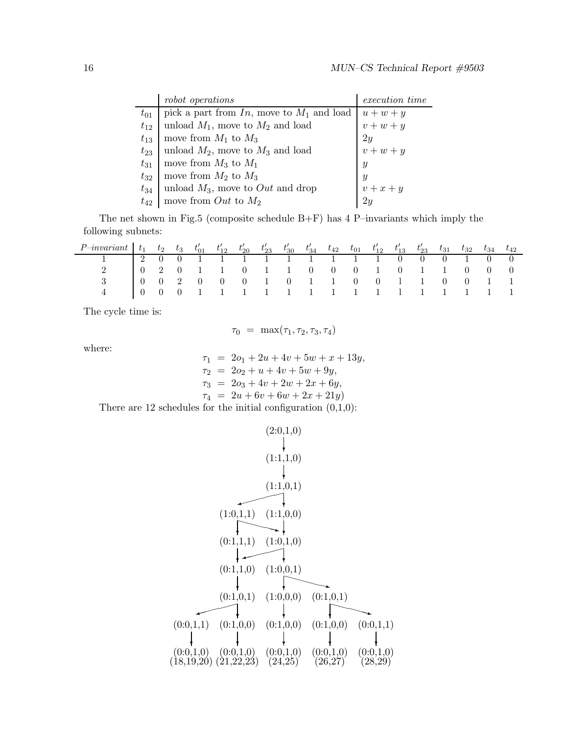|          | robot operations                               | execution time             |
|----------|------------------------------------------------|----------------------------|
| $t_{01}$ | pick a part from $In$ , move to $M_1$ and load |                            |
| $t_{12}$ | unload $M_1$ , move to $M_2$ and load          | $u + w + y$<br>$v + w + y$ |
| $t_{13}$ | move from $M_1$ to $M_3$                       | 2y                         |
| $t_{23}$ | unload $M_2$ , move to $M_3$ and load          | $v + w + y$                |
| $t_{31}$ | move from $M_3$ to $M_1$                       | $\mathcal{Y}$              |
| $t_{32}$ | move from $M_2$ to $M_3$                       | $\mathcal{Y}$              |
| $t_{34}$ | unload $M_3$ , move to Out and drop            | $v + x + y$                |
| $t_{42}$ | move from Out to $M_2$                         | 2y                         |

The net shown in Fig.5 (composite schedule  $B+F$ ) has 4 P–invariants which imply the following subnets:

| <i>P</i> -invariant $t_1$ $t_1$ $t_2$ $t_3$ $t'_{01}$ $t'_{12}$ $t'_{20}$ $t'_{23}$ $t'_{30}$ $t'_{34}$ $t_{42}$ $t_{01}$ $t'_{12}$ $t'_{13}$ $t'_{23}$ $t_{31}$ $t_{32}$ $t_{34}$ $t_{42}$ |  |  |  |  |  |  |  |  |                                     |
|---------------------------------------------------------------------------------------------------------------------------------------------------------------------------------------------|--|--|--|--|--|--|--|--|-------------------------------------|
| 1   2 0 0 1 1 1 1 1 1 1 1 1 1 0 0 0 1 0 0                                                                                                                                                   |  |  |  |  |  |  |  |  |                                     |
| $2 \t 0 \t 2 \t 0 \t 1 \t 1 \t 0 \t 1 \t 1 \t 0 \t 0 \t 0 \t 1 \t 0 \t 1 \t 1 \t 0 \t 0 \t 0$                                                                                               |  |  |  |  |  |  |  |  |                                     |
|                                                                                                                                                                                             |  |  |  |  |  |  |  |  |                                     |
|                                                                                                                                                                                             |  |  |  |  |  |  |  |  | 0 0 0 1 1 1 1 1 1 1 1 1 1 1 1 1 1 1 |

The cycle time is:

$$
\tau_0 = \max(\tau_1, \tau_2, \tau_3, \tau_4)
$$

where:

$$
\tau_1 = 2o_1 + 2u + 4v + 5w + x + 13y,
$$
  
\n
$$
\tau_2 = 2o_2 + u + 4v + 5w + 9y,
$$
  
\n
$$
\tau_3 = 2o_3 + 4v + 2w + 2x + 6y,
$$
  
\n
$$
\tau_4 = 2u + 6v + 6w + 2x + 21y,
$$

There are 12 schedules for the initial configuration  $(0,1,0)$ :

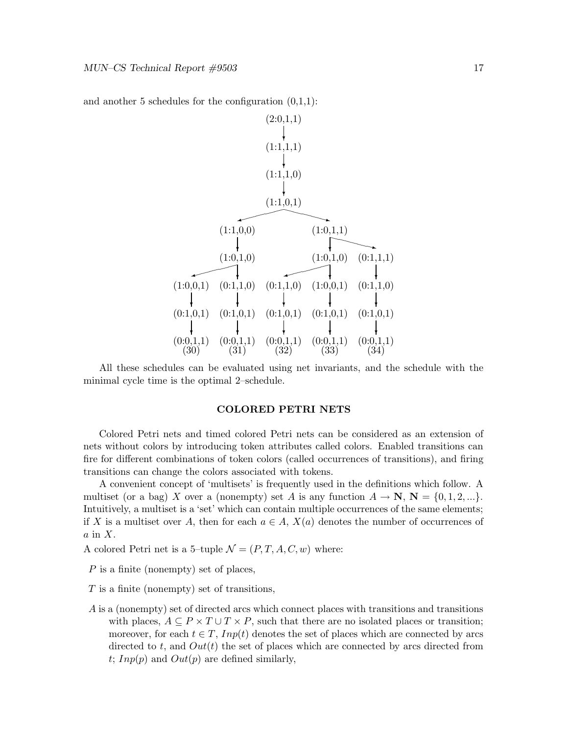and another 5 schedules for the configuration  $(0,1,1)$ :



All these schedules can be evaluated using net invariants, and the schedule with the minimal cycle time is the optimal 2–schedule.

#### COLORED PETRI NETS

Colored Petri nets and timed colored Petri nets can be considered as an extension of nets without colors by introducing token attributes called colors. Enabled transitions can fire for different combinations of token colors (called occurrences of transitions), and firing transitions can change the colors associated with tokens.

A convenient concept of 'multisets' is frequently used in the definitions which follow. A multiset (or a bag) X over a (nonempty) set A is any function  $A \to \mathbb{N}, \mathbb{N} = \{0, 1, 2, ...\}$ . Intuitively, a multiset is a 'set' which can contain multiple occurrences of the same elements; if X is a multiset over A, then for each  $a \in A$ ,  $X(a)$  denotes the number of occurrences of  $a$  in  $X$ .

A colored Petri net is a 5-tuple  $\mathcal{N} = (P, T, A, C, w)$  where:

P is a finite (nonempty) set of places,

T is a finite (nonempty) set of transitions,

A is a (nonempty) set of directed arcs which connect places with transitions and transitions with places,  $A \subseteq P \times T \cup T \times P$ , such that there are no isolated places or transition; moreover, for each  $t \in T$ , Inp(t) denotes the set of places which are connected by arcs directed to t, and  $Out(t)$  the set of places which are connected by arcs directed from t; Inp(p) and  $Out(p)$  are defined similarly,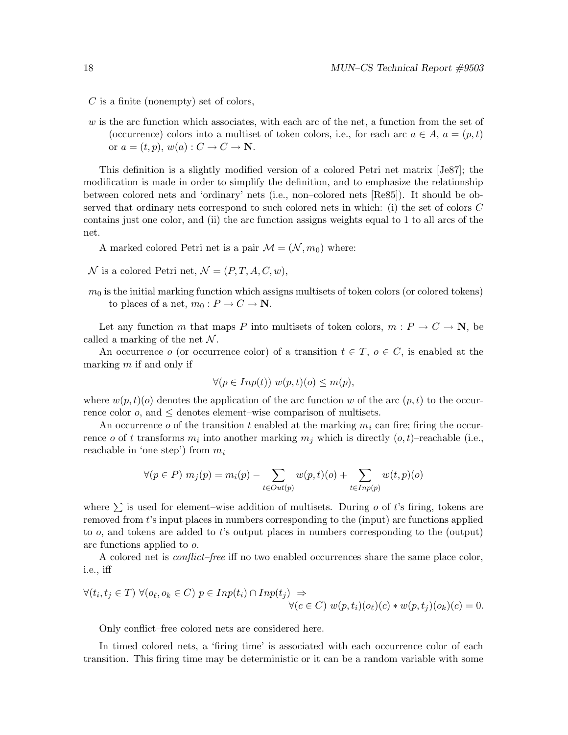$C$  is a finite (nonempty) set of colors,

 $w$  is the arc function which associates, with each arc of the net, a function from the set of (occurrence) colors into a multiset of token colors, i.e., for each arc  $a \in A$ ,  $a = (p,t)$ or  $a = (t, p), w(a) : C \rightarrow C \rightarrow \mathbb{N}$ .

This definition is a slightly modified version of a colored Petri net matrix [Je87]; the modification is made in order to simplify the definition, and to emphasize the relationship between colored nets and 'ordinary' nets (i.e., non–colored nets [Re85]). It should be observed that ordinary nets correspond to such colored nets in which: (i) the set of colors  $C$ contains just one color, and (ii) the arc function assigns weights equal to 1 to all arcs of the net.

A marked colored Petri net is a pair  $\mathcal{M} = (\mathcal{N}, m_0)$  where:

- $\mathcal N$  is a colored Petri net,  $\mathcal N = (P, T, A, C, w),$
- $m<sub>0</sub>$  is the initial marking function which assigns multisets of token colors (or colored tokens) to places of a net,  $m_0: P \to C \to \mathbb{N}$ .

Let any function m that maps P into multisets of token colors,  $m: P \to C \to \mathbb{N}$ , be called a marking of the net  $\mathcal N$ .

An occurrence o (or occurrence color) of a transition  $t \in T$ ,  $o \in C$ , is enabled at the marking  $m$  if and only if

$$
\forall (p \in Imp(t)) \ w(p, t)(o) \le m(p),
$$

where  $w(p,t)(o)$  denotes the application of the arc function w of the arc  $(p,t)$  to the occurrence color  $o$ , and  $\leq$  denotes element–wise comparison of multisets.

An occurrence o of the transition t enabled at the marking  $m_i$  can fire; firing the occurrence *o* of *t* transforms  $m_i$  into another marking  $m_j$  which is directly  $(o, t)$ -reachable (i.e., reachable in 'one step') from  $m_i$ 

$$
\forall (p \in P) \ m_j(p) = m_i(p) - \sum_{t \in Out(p)} w(p, t)(o) + \sum_{t \in Imp(p)} w(t, p)(o)
$$

where  $\Sigma$  is used for element–wise addition of multisets. During o of t's firing, tokens are removed from t's input places in numbers corresponding to the (input) arc functions applied to  $o$ , and tokens are added to t's output places in numbers corresponding to the (output) arc functions applied to o.

A colored net is conflict–free iff no two enabled occurrences share the same place color, i.e., iff

$$
\forall (t_i, t_j \in T) \ \forall (o_\ell, o_k \in C) \ p \in Imp(t_i) \cap Imp(t_j) \Rightarrow \forall (c \in C) \ w(p, t_i)(o_\ell)(c) * w(p, t_j)(o_k)(c) = 0.
$$

Only conflict–free colored nets are considered here.

In timed colored nets, a 'firing time' is associated with each occurrence color of each transition. This firing time may be deterministic or it can be a random variable with some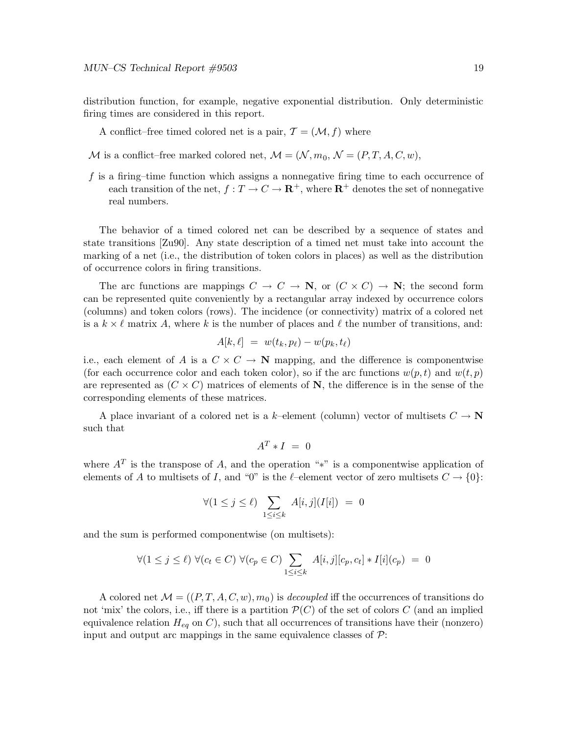distribution function, for example, negative exponential distribution. Only deterministic firing times are considered in this report.

- A conflict–free timed colored net is a pair,  $\mathcal{T} = (\mathcal{M}, f)$  where
- M is a conflict–free marked colored net,  $\mathcal{M} = (\mathcal{N}, m_0, \mathcal{N} = (P, T, A, C, w),$
- f is a firing–time function which assigns a nonnegative firing time to each occurrence of each transition of the net,  $f: T \to C \to \mathbb{R}^+$ , where  $\mathbb{R}^+$  denotes the set of nonnegative real numbers.

The behavior of a timed colored net can be described by a sequence of states and state transitions [Zu90]. Any state description of a timed net must take into account the marking of a net (i.e., the distribution of token colors in places) as well as the distribution of occurrence colors in firing transitions.

The arc functions are mappings  $C \to C \to \mathbb{N}$ , or  $(C \times C) \to \mathbb{N}$ ; the second form can be represented quite conveniently by a rectangular array indexed by occurrence colors (columns) and token colors (rows). The incidence (or connectivity) matrix of a colored net is a  $k \times \ell$  matrix A, where k is the number of places and  $\ell$  the number of transitions, and:

$$
A[k,\ell] = w(t_k,p_\ell) - w(p_k,t_\ell)
$$

i.e., each element of A is a  $C \times C \rightarrow \mathbb{N}$  mapping, and the difference is componentwise (for each occurrence color and each token color), so if the arc functions  $w(p, t)$  and  $w(t, p)$ are represented as  $(C \times C)$  matrices of elements of N, the difference is in the sense of the corresponding elements of these matrices.

A place invariant of a colored net is a k–element (column) vector of multisets  $C \to \mathbb{N}$ such that

$$
A^T * I = 0
$$

where  $A<sup>T</sup>$  is the transpose of A, and the operation "\*" is a componentwise application of elements of A to multisets of I, and "0" is the  $\ell$ –element vector of zero multisets  $C \to \{0\}$ :

$$
\forall (1 \leq j \leq \ell) \sum_{1 \leq i \leq k} A[i, j](I[i]) = 0
$$

and the sum is performed componentwise (on multisets):

$$
\forall (1 \leq j \leq \ell) \ \forall (c_t \in C) \ \forall (c_p \in C) \sum_{1 \leq i \leq k} A[i,j][c_p, c_t] * I[i](c_p) = 0
$$

A colored net  $\mathcal{M} = ((P, T, A, C, w), m_0)$  is decoupled iff the occurrences of transitions do not 'mix' the colors, i.e., iff there is a partition  $\mathcal{P}(C)$  of the set of colors C (and an implied equivalence relation  $H_{eq}$  on C), such that all occurrences of transitions have their (nonzero) input and output arc mappings in the same equivalence classes of  $\mathcal{P}$ :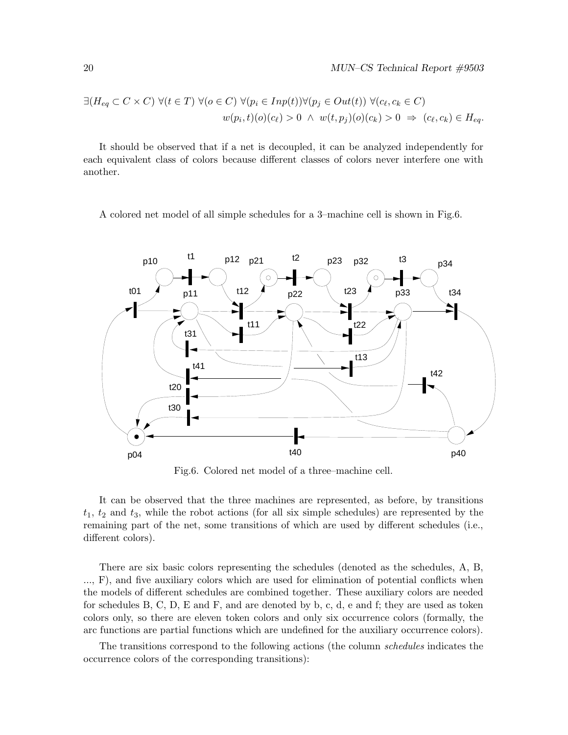$$
\exists (H_{eq} \subset C \times C) \ \forall (t \in T) \ \forall (o \in C) \ \forall (p_i \in Imp(t)) \forall (p_j \in Out(t)) \ \forall (c_\ell, c_k \in C)
$$

$$
w(p_i, t)(o)(c_\ell) > 0 \ \land \ w(t, p_j)(o)(c_k) > 0 \ \Rightarrow \ (c_\ell, c_k) \in H_{eq}.
$$

It should be observed that if a net is decoupled, it can be analyzed independently for each equivalent class of colors because different classes of colors never interfere one with another.

A colored net model of all simple schedules for a 3–machine cell is shown in Fig.6.



Fig.6. Colored net model of a three–machine cell.

It can be observed that the three machines are represented, as before, by transitions  $t_1$ ,  $t_2$  and  $t_3$ , while the robot actions (for all six simple schedules) are represented by the remaining part of the net, some transitions of which are used by different schedules (i.e., different colors).

There are six basic colors representing the schedules (denoted as the schedules, A, B, ..., F), and five auxiliary colors which are used for elimination of potential conflicts when the models of different schedules are combined together. These auxiliary colors are needed for schedules B, C, D, E and F, and are denoted by b, c, d, e and f; they are used as token colors only, so there are eleven token colors and only six occurrence colors (formally, the arc functions are partial functions which are undefined for the auxiliary occurrence colors).

The transitions correspond to the following actions (the column schedules indicates the occurrence colors of the corresponding transitions):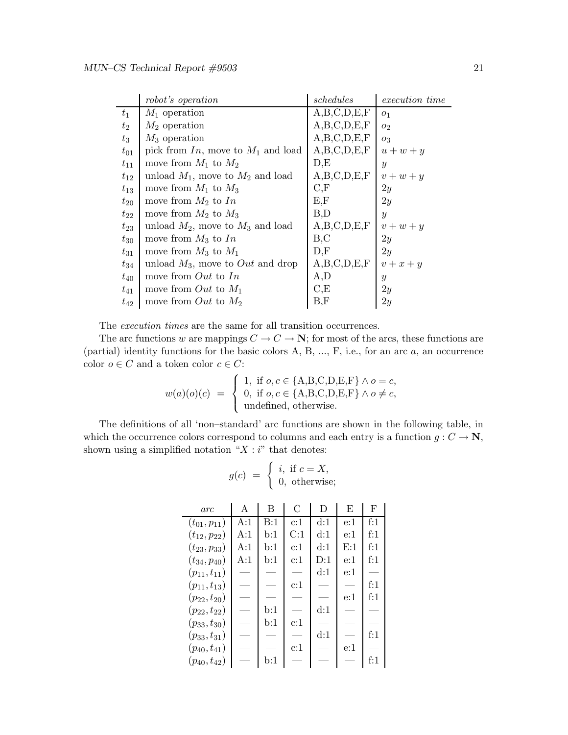|          | robot's operation                       | schedules   | <i>execution</i> time |
|----------|-----------------------------------------|-------------|-----------------------|
| $t_1$    | $M_1$ operation                         | A,B,C,D,E,F | 01                    |
| $t_2$    | $M_2$ operation                         | A,B,C,D,E,F | 02                    |
| $t_3$    | $M_3$ operation                         | A,B,C,D,E,F | 03                    |
| $t_{01}$ | pick from $In$ , move to $M_1$ and load | A,B,C,D,E,F | $u + w + y$           |
| $t_{11}$ | move from $M_1$ to $M_2$                | D,E         | $\mathcal{Y}$         |
| $t_{12}$ | unload $M_1$ , move to $M_2$ and load   | A,B,C,D,E,F | $v + w + y$           |
| $t_{13}$ | move from $M_1$ to $M_3$                | C.F         | 2y                    |
| $t_{20}$ | move from $M_2$ to $In$                 | E, F        | 2y                    |
| $t_{22}$ | move from $M_2$ to $M_3$                | B,D         | $\boldsymbol{y}$      |
| $t_{23}$ | unload $M_2$ , move to $M_3$ and load   | A,B,C,D,E,F | $v + w + y$           |
| $t_{30}$ | move from $M_3$ to $In$                 | B, C        | 2y                    |
| $t_{31}$ | move from $M_3$ to $M_1$                | D.F         | 2y                    |
| $t_{34}$ | unload $M_3$ , move to Out and drop     | A,B,C,D,E,F | $v + x + y$           |
| $t_{40}$ | move from Out to $In$                   | A, D        | $\boldsymbol{y}$      |
| $t_{41}$ | move from Out to $M_1$                  | C, E        | 2y                    |
| $t_{42}$ | move from Out to $M_2$                  | B,F         | 2y                    |
|          |                                         |             |                       |

The execution times are the same for all transition occurrences.

The arc functions w are mappings  $C \to C \to \mathbb{N}$ ; for most of the arcs, these functions are (partial) identity functions for the basic colors  $A, B, ..., F$ , i.e., for an arc  $a$ , an occurrence color  $o \in C$  and a token color  $c \in C$ :

$$
w(a)(o)(c) = \begin{cases} 1, & \text{if } o, c \in \{A, B, C, D, E, F\} \land o = c, \\ 0, & \text{if } o, c \in \{A, B, C, D, E, F\} \land o \neq c, \\ \text{undefined, otherwise.} \end{cases}
$$

The definitions of all 'non–standard' arc functions are shown in the following table, in which the occurrence colors correspond to columns and each entry is a function  $g: C \to \mathbb{N}$ , shown using a simplified notation " $X : i$ " that denotes:

$$
g(c) = \begin{cases} i, & \text{if } c = X, \\ 0, & \text{otherwise}; \end{cases}
$$

| arc                | A   | Β   | C   | D   | Ε                       | F   |
|--------------------|-----|-----|-----|-----|-------------------------|-----|
| $(t_{01}, p_{11})$ | A:1 | B:1 | c:1 | d:1 | e:1                     | f:1 |
| $(t_{12}, p_{22})$ | A:1 | b:1 | C:1 | d:1 | e:1                     | f:1 |
| $(t_{23}, p_{33})$ | A:1 | b:1 | c:1 | d:1 | E:1                     | f:1 |
| $(t_{34}, p_{40})$ | A:1 | b:1 | c:1 | D:1 | e:1                     | f:1 |
| $(p_{11}, t_{11})$ |     |     |     | d:1 | $\mathrm{e}\mathrm{:}1$ |     |
| $(p_{11}, t_{13})$ |     |     | c:1 |     |                         | f:1 |
| $(p_{22}, t_{20})$ |     |     |     |     | e:1                     | f:1 |
| $(p_{22}, t_{22})$ |     | b:1 |     | d:1 |                         |     |
| $(p_{33}, t_{30})$ |     | b:1 | c:1 |     |                         |     |
| $(p_{33}, t_{31})$ |     |     |     | d:1 |                         | f:1 |
| $(p_{40}, t_{41})$ |     |     | c:1 |     | $\mathrm{e}\mathrm{:}1$ |     |
| $(p_{40}, t_{42})$ |     | b:1 |     |     |                         | f:1 |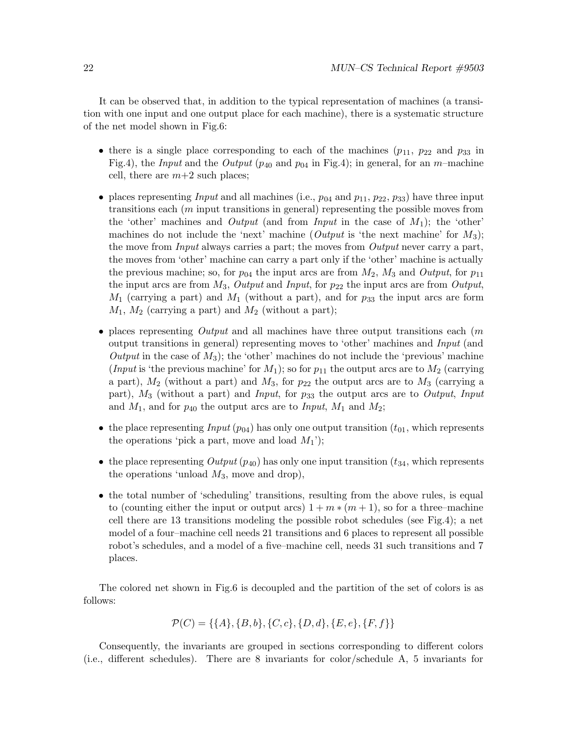It can be observed that, in addition to the typical representation of machines (a transition with one input and one output place for each machine), there is a systematic structure of the net model shown in Fig.6:

- there is a single place corresponding to each of the machines  $(p_{11}, p_{22} \text{ and } p_{33} \text{ in }$ Fig.4), the *Input* and the *Output* ( $p_{40}$  and  $p_{04}$  in Fig.4); in general, for an *m*-machine cell, there are  $m+2$  such places;
- places representing Input and all machines (i.e.,  $p_{04}$  and  $p_{11}$ ,  $p_{22}$ ,  $p_{33}$ ) have three input transitions each  $(m \text{ input transitions in general})$  representing the possible moves from the 'other' machines and *Output* (and from *Input* in the case of  $M_1$ ); the 'other' machines do not include the 'next' machine (*Output* is 'the next machine' for  $M_3$ ); the move from *Input* always carries a part; the moves from *Output* never carry a part, the moves from 'other' machine can carry a part only if the 'other' machine is actually the previous machine; so, for  $p_{04}$  the input arcs are from  $M_2$ ,  $M_3$  and Output, for  $p_{11}$ the input arcs are from  $M_3$ , Output and Input, for  $p_{22}$  the input arcs are from Output,  $M_1$  (carrying a part) and  $M_1$  (without a part), and for  $p_{33}$  the input arcs are form  $M_1$ ,  $M_2$  (carrying a part) and  $M_2$  (without a part);
- places representing *Output* and all machines have three output transitions each  $(m)$ output transitions in general) representing moves to 'other' machines and Input (and Output in the case of  $M_3$ ); the 'other' machines do not include the 'previous' machine (Input is 'the previous machine' for  $M_1$ ); so for  $p_{11}$  the output arcs are to  $M_2$  (carrying a part),  $M_2$  (without a part) and  $M_3$ , for  $p_{22}$  the output arcs are to  $M_3$  (carrying a part),  $M_3$  (without a part) and Input, for  $p_{33}$  the output arcs are to Output, Input and  $M_1$ , and for  $p_{40}$  the output arcs are to *Input*,  $M_1$  and  $M_2$ ;
- the place representing  $Input(p_{04})$  has only one output transition  $(t_{01},$  which represents the operations 'pick a part, move and load  $M_1$ ');
- the place representing  $Output(p_{40})$  has only one input transition  $(t_{34},$  which represents the operations 'unload  $M_3$ , move and drop),
- the total number of 'scheduling' transitions, resulting from the above rules, is equal to (counting either the input or output arcs)  $1 + m * (m + 1)$ , so for a three–machine cell there are 13 transitions modeling the possible robot schedules (see Fig.4); a net model of a four–machine cell needs 21 transitions and 6 places to represent all possible robot's schedules, and a model of a five–machine cell, needs 31 such transitions and 7 places.

The colored net shown in Fig.6 is decoupled and the partition of the set of colors is as follows:

$$
\mathcal{P}(C) = \{\{A\}, \{B, b\}, \{C, c\}, \{D, d\}, \{E, e\}, \{F, f\}\}\
$$

Consequently, the invariants are grouped in sections corresponding to different colors (i.e., different schedules). There are 8 invariants for color/schedule A, 5 invariants for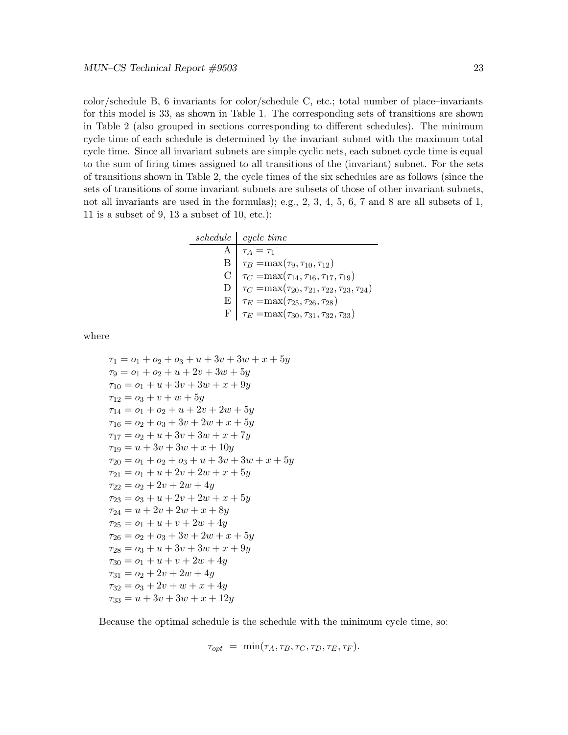color/schedule B, 6 invariants for color/schedule C, etc.; total number of place–invariants for this model is 33, as shown in Table 1. The corresponding sets of transitions are shown in Table 2 (also grouped in sections corresponding to different schedules). The minimum cycle time of each schedule is determined by the invariant subnet with the maximum total cycle time. Since all invariant subnets are simple cyclic nets, each subnet cycle time is equal to the sum of firing times assigned to all transitions of the (invariant) subnet. For the sets of transitions shown in Table 2, the cycle times of the six schedules are as follows (since the sets of transitions of some invariant subnets are subsets of those of other invariant subnets, not all invariants are used in the formulas); e.g., 2, 3, 4, 5, 6, 7 and 8 are all subsets of 1, 11 is a subset of 9, 13 a subset of 10, etc.):

| schedule | cycle time                                                             |
|----------|------------------------------------------------------------------------|
| A        | $\tau_A = \tau_1$                                                      |
| B        | $\tau_B = \max(\tau_9, \tau_{10}, \tau_{12})$                          |
| C        | $\tau_C = \max(\tau_{14}, \tau_{16}, \tau_{17}, \tau_{19})$            |
| D        | $\tau_C = \max(\tau_{20}, \tau_{21}, \tau_{22}, \tau_{23}, \tau_{24})$ |
| E        | $\tau_E = \max(\tau_{25}, \tau_{26}, \tau_{28})$                       |
| F        | $\tau_E = \max(\tau_{30}, \tau_{31}, \tau_{32}, \tau_{33})$            |

where

$$
\tau_1 = o_1 + o_2 + o_3 + u + 3v + 3w + x + 5y
$$
  
\n
$$
\tau_9 = o_1 + o_2 + u + 2v + 3w + 5y
$$
  
\n
$$
\tau_{10} = o_1 + u + 3v + 3w + x + 9y
$$
  
\n
$$
\tau_{12} = o_3 + v + w + 5y
$$
  
\n
$$
\tau_{14} = o_1 + o_2 + u + 2v + 2w + 5y
$$
  
\n
$$
\tau_{16} = o_2 + o_3 + 3v + 2w + x + 5y
$$
  
\n
$$
\tau_{17} = o_2 + u + 3v + 3w + x + 7y
$$
  
\n
$$
\tau_{19} = u + 3v + 3w + x + 10y
$$
  
\n
$$
\tau_{20} = o_1 + o_2 + o_3 + u + 3v + 3w + x + 5y
$$
  
\n
$$
\tau_{21} = o_1 + u + 2v + 2w + x + 5y
$$
  
\n
$$
\tau_{22} = o_2 + 2v + 2w + 4y
$$
  
\n
$$
\tau_{23} = o_3 + u + 2v + 2w + x + 5y
$$
  
\n
$$
\tau_{24} = u + 2v + 2w + x + 8y
$$
  
\n
$$
\tau_{25} = o_1 + u + v + 2w + 4y
$$
  
\n
$$
\tau_{26} = o_2 + o_3 + 3v + 2w + x + 5y
$$
  
\n
$$
\tau_{28} = o_3 + u + 3v + 3w + x + 9y
$$
  
\n
$$
\tau_{30} = o_1 + u + v + 2w + 4y
$$
  
\n
$$
\tau_{31} = o_2 + 2v + 2w + 4y
$$
  
\n
$$
\tau_{32} = o_3 + 2v + w + x + 4y
$$
  
\n
$$
\tau_{33} = u + 3v + 3w + x + 12y
$$

Because the optimal schedule is the schedule with the minimum cycle time, so:

$$
\tau_{opt} = \min(\tau_A, \tau_B, \tau_C, \tau_D, \tau_E, \tau_F).
$$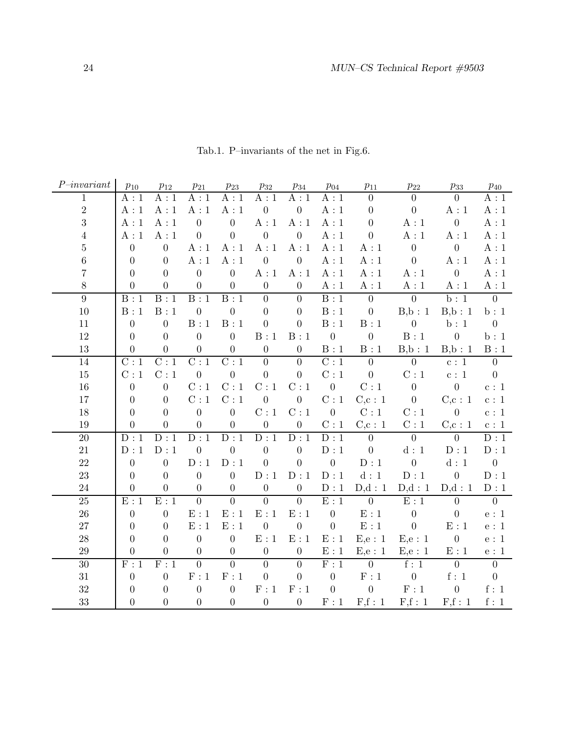| $P-invariant$   | $p_{10}$         | $p_{12}$         | $p_{21}$         | $p_{23}$         | $p_{32}$         | $p_{34}$         | $p_{04}$         | $p_{11}$         | $p_{22}$         | $p_{33}$                      | $p_{40}$                      |
|-----------------|------------------|------------------|------------------|------------------|------------------|------------------|------------------|------------------|------------------|-------------------------------|-------------------------------|
| $\mathbf{1}$    | A:1              | A:1              | A:1              | A:1              | A:1              | A : 1            | A:1              | $\overline{0}$   | $\Omega$         | $\Omega$                      | A : 1                         |
| $\sqrt{2}$      | A:1              | A:1              | A:1              | A:1              | $\overline{0}$   | $\boldsymbol{0}$ | A:1              | $\boldsymbol{0}$ | $\overline{0}$   | A:1                           | A:1                           |
| 3               | A:1              | A:1              | $\theta$         | $\boldsymbol{0}$ | A:1              | A:1              | A:1              | $\boldsymbol{0}$ | A:1              | $\boldsymbol{0}$              | A:1                           |
| 4               | A:1              | A:1              | $\boldsymbol{0}$ | $\boldsymbol{0}$ | $\boldsymbol{0}$ | $\boldsymbol{0}$ | A:1              | $\overline{0}$   | A:1              | A:1                           | A:1                           |
| $\bf 5$         | $\overline{0}$   | $\boldsymbol{0}$ | A:1              | A:1              | A:1              | A:1              | A:1              | A:1              | $\boldsymbol{0}$ | $\boldsymbol{0}$              | A:1                           |
| $\,6$           | $\overline{0}$   | $\theta$         | A:1              | A:1              | $\overline{0}$   | $\overline{0}$   | A:1              | A:1              | $\overline{0}$   | A:1                           | A:1                           |
| $\overline{7}$  | $\overline{0}$   | $\overline{0}$   | $\theta$         | $\boldsymbol{0}$ | A:1              | A:1              | A:1              | A:1              | A:1              | $\boldsymbol{0}$              | A:1                           |
| 8               | $\overline{0}$   | $\overline{0}$   | $\boldsymbol{0}$ | $\boldsymbol{0}$ | $\boldsymbol{0}$ | $\boldsymbol{0}$ | A:1              | A:1              | A:1              | A:1                           | A:1                           |
| $\overline{9}$  | B:1              | B:1              | B:1              | B:1              | $\overline{0}$   | $\overline{0}$   | B:1              | $\overline{0}$   | $\overline{0}$   | b:1                           | $\overline{0}$                |
| 10              | B:1              | B:1              | $\boldsymbol{0}$ | $\overline{0}$   | $\overline{0}$   | $\overline{0}$   | B:1              | $\overline{0}$   | B,b:1            | B,b:1                         | b:1                           |
| 11              | $\boldsymbol{0}$ | $\boldsymbol{0}$ | B:1              | B:1              | $\boldsymbol{0}$ | $\boldsymbol{0}$ | B:1              | B:1              | $\boldsymbol{0}$ | b:1                           | $\overline{0}$                |
| $12\,$          | $\overline{0}$   | $\boldsymbol{0}$ | $\boldsymbol{0}$ | $\boldsymbol{0}$ | B:1              | B:1              | $\overline{0}$   | $\boldsymbol{0}$ | B:1              | $\overline{0}$                | b:1                           |
| $13\,$          | $\overline{0}$   | $\overline{0}$   | $\boldsymbol{0}$ | $\boldsymbol{0}$ | $\boldsymbol{0}$ | $\boldsymbol{0}$ | B:1              | B:1              | B,b:1            | B,b:1                         | B:1                           |
| 14              | C:1              | C:1              | C:1              | C:1              | $\overline{0}$   | $\overline{0}$   | C:1              | $\overline{0}$   | $\theta$         | $\ensuremath{\text{c}}$ : $1$ | $\overline{0}$                |
| $15\,$          | C:1              | C:1              | $\boldsymbol{0}$ | $\boldsymbol{0}$ | $\overline{0}$   | $\overline{0}$   | C:1              | $\theta$         | C:1              | $\ensuremath{\text{c}}$ : $1$ | $\overline{0}$                |
| 16              | $\boldsymbol{0}$ | $\boldsymbol{0}$ | C:1              | $\mathrm{C}:1$   | C:1              | C:1              | $\overline{0}$   | $\mathrm{C}:1$   | $\overline{0}$   | $\overline{0}$                | $\ensuremath{\text{c}}$ : $1$ |
| 17              | $\overline{0}$   | $\theta$         | C:1              | $\mathrm{C}:1$   | $\boldsymbol{0}$ | $\boldsymbol{0}$ | $\mathrm{C}:1$   | C,c:1            | $\overline{0}$   | C,c:1                         | $\ensuremath{\text{c}}$ : $1$ |
| 18              | $\overline{0}$   | $\Omega$         | $\boldsymbol{0}$ | $\overline{0}$   | C:1              | $\mathrm{C}:1$   | $\boldsymbol{0}$ | C:1              | C:1              | $\overline{0}$                | c: 1                          |
| $19\,$          | $\overline{0}$   | $\overline{0}$   | $\boldsymbol{0}$ | $\boldsymbol{0}$ | $\boldsymbol{0}$ | $\boldsymbol{0}$ | C:1              | C,c:1            | C:1              | C,c:1                         | $\ensuremath{\text{c}}$ : $1$ |
| $20\,$          | D:1              | D:1              | D:1              | D:1              | D:1              | D:1              | D:1              | $\overline{0}$   | $\overline{0}$   | $\overline{0}$                | D:1                           |
| 21              | D:1              | D:1              | $\overline{0}$   | $\overline{0}$   | $\overline{0}$   | $\boldsymbol{0}$ | D:1              | $\overline{0}$   | d:1              | D:1                           | D:1                           |
| $22\,$          | $\overline{0}$   | $\overline{0}$   | D:1              | D:1              | $\overline{0}$   | $\boldsymbol{0}$ | $\boldsymbol{0}$ | D:1              | $\boldsymbol{0}$ | d: 1                          | $\overline{0}$                |
| $23\,$          | $\overline{0}$   | $\boldsymbol{0}$ | $\boldsymbol{0}$ | $\boldsymbol{0}$ | D:1              | D:1              | D:1              | d: 1             | D:1              | $\boldsymbol{0}$              | D:1                           |
| $24\,$          | $\overline{0}$   | $\overline{0}$   | $\boldsymbol{0}$ | $\boldsymbol{0}$ | $\boldsymbol{0}$ | $\boldsymbol{0}$ | D:1              | D,d:1            | D,d:1            | D,d:1                         | D:1                           |
| $\overline{25}$ | E:1              | $\overline{E}:1$ | $\overline{0}$   | $\overline{0}$   | $\overline{0}$   | $\overline{0}$   | E:1              | $\theta$         | E:1              | $\overline{0}$                | $\overline{0}$                |
| $26\,$          | $\boldsymbol{0}$ | $\boldsymbol{0}$ | E:1              | E:1              | E:1              | E:1              | $\boldsymbol{0}$ | $\mathbf{E}:1$   | $\boldsymbol{0}$ | $\boldsymbol{0}$              | $\rm e$ : $1$                 |
| $27\,$          | $\overline{0}$   | $\overline{0}$   | $\mathbf{E}:1$   | $\mathbf{E}:1$   | $\boldsymbol{0}$ | $\boldsymbol{0}$ | $\boldsymbol{0}$ | $\mathbf{E}:1$   | $\overline{0}$   | E:1                           | e:1                           |
| $28\,$          | $\overline{0}$   | $\overline{0}$   | $\boldsymbol{0}$ | $\boldsymbol{0}$ | $\mathbf{E}:1$   | $\mathbf{E}:1$   | E:1              | E,e:1            | E,e:1            | $\boldsymbol{0}$              | e:1                           |
| 29              | $\overline{0}$   | $\overline{0}$   | $\boldsymbol{0}$ | $\overline{0}$   | $\overline{0}$   | $\overline{0}$   | E:1              | E,e:1            | E,e:1            | E:1                           | e:1                           |
| 30              | $\mathcal{F}:1$  | F:1              | $\overline{0}$   | $\overline{0}$   | $\overline{0}$   | $\boldsymbol{0}$ | $\mathcal{F}:1$  | $\overline{0}$   | f: 1             | $\overline{0}$                | $\overline{0}$                |
| $31\,$          | $\overline{0}$   | $\boldsymbol{0}$ | F:1              | F:1              | $\overline{0}$   | $\overline{0}$   | $\boldsymbol{0}$ | F:1              | $\overline{0}$   | f: 1                          | $\overline{0}$                |
| $32\,$          | $\overline{0}$   | $\boldsymbol{0}$ | $\boldsymbol{0}$ | $\boldsymbol{0}$ | F:1              | F:1              | $\boldsymbol{0}$ | $\boldsymbol{0}$ | F:1              | $\overline{0}$                | f: 1                          |
| 33              | $\overline{0}$   | $\overline{0}$   | $\overline{0}$   | $\overline{0}$   | $\overline{0}$   | $\overline{0}$   | F:1              | F.f: 1           | F.f: 1           | F.f: 1                        | f: 1                          |

Tab.1. P–invariants of the net in Fig.6.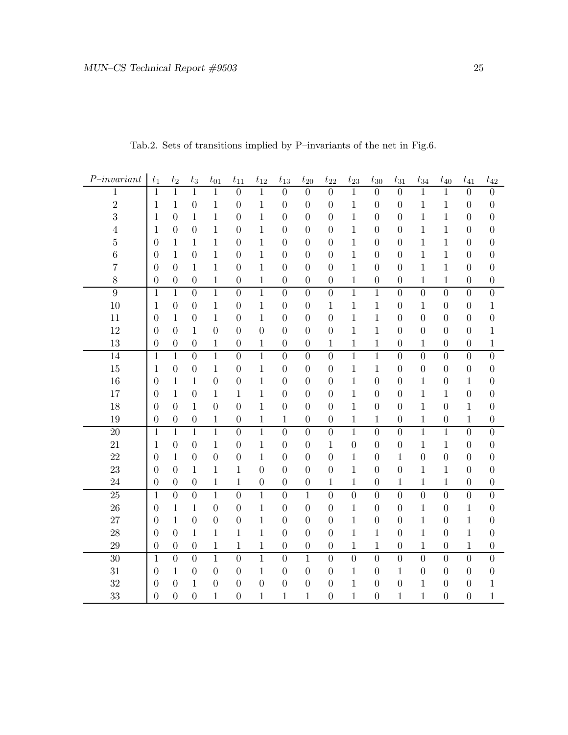| $P-invariant$   | $t_1$            | $t_2\,$          | $t_3$            | $t_{01}$         | $t_{11}$         | $t_{12}$         | $t_{13}$         | $t_{20}$         | $t_{22}$         | $t_{23}$         | $t_{30}$         | $t_{31}$         | $t_{34}$         | $t_{40}$         | $t_{41}$         | $t_{\rm 42}$     |
|-----------------|------------------|------------------|------------------|------------------|------------------|------------------|------------------|------------------|------------------|------------------|------------------|------------------|------------------|------------------|------------------|------------------|
| $\mathbf 1$     | $\mathbf{1}$     | $\mathbf{1}$     | $\mathbf{1}$     | $\mathbf{1}$     | $\overline{0}$   | $\mathbf{1}$     | $\overline{0}$   | $\overline{0}$   | $\overline{0}$   | $\mathbf{1}$     | $\overline{0}$   | $\overline{0}$   | $\overline{1}$   | $\mathbf{1}$     | $\overline{0}$   | $\overline{0}$   |
| $\overline{2}$  | $\,1$            | $\mathbf{1}$     | $\overline{0}$   | $\mathbf{1}$     | $\overline{0}$   | $\,1$            | $\boldsymbol{0}$ | $\boldsymbol{0}$ | $\boldsymbol{0}$ | $1\,$            | $\boldsymbol{0}$ | $\boldsymbol{0}$ | $\,1$            | $1\,$            | $\boldsymbol{0}$ | $\boldsymbol{0}$ |
| 3               | $\mathbf{1}$     | $\boldsymbol{0}$ | $\mathbf{1}$     | $\mathbf 1$      | $\boldsymbol{0}$ | $\mathbf 1$      | $\boldsymbol{0}$ | $\boldsymbol{0}$ | $\boldsymbol{0}$ | $\mathbf{1}$     | $\boldsymbol{0}$ | $\boldsymbol{0}$ | $\,1$            | $1\,$            | $\boldsymbol{0}$ | $\boldsymbol{0}$ |
| $\sqrt{4}$      | $\mathbf{1}$     | $\boldsymbol{0}$ | $\boldsymbol{0}$ | $\,1\,$          | $\overline{0}$   | $\,1$            | $\boldsymbol{0}$ | $\overline{0}$   | $\boldsymbol{0}$ | $\mathbf{1}$     | $\boldsymbol{0}$ | $\boldsymbol{0}$ | $\mathbf 1$      | $\mathbf 1$      | $\boldsymbol{0}$ | $\boldsymbol{0}$ |
| $\overline{5}$  | $\boldsymbol{0}$ | $\mathbf{1}$     | $\mathbf{1}$     | $\mathbf 1$      | $\boldsymbol{0}$ | $\mathbf 1$      | $\boldsymbol{0}$ | $\boldsymbol{0}$ | $\theta$         | $\mathbf{1}$     | $\boldsymbol{0}$ | $\boldsymbol{0}$ | $\mathbf{1}$     | $\mathbf{1}$     | $\boldsymbol{0}$ | $\boldsymbol{0}$ |
| $\overline{6}$  | $\boldsymbol{0}$ | $\mathbf{1}$     | $\boldsymbol{0}$ | $\,1$            | $\boldsymbol{0}$ | $\,1\,$          | $\boldsymbol{0}$ | $\boldsymbol{0}$ | $\boldsymbol{0}$ | $\mathbf 1$      | $\boldsymbol{0}$ | $\boldsymbol{0}$ | $\,1$            | $\,1$            | $\boldsymbol{0}$ | $\boldsymbol{0}$ |
| 7               | $\overline{0}$   | $\overline{0}$   | $\mathbf{1}$     | $\,1$            | $\overline{0}$   | $1\,$            | $\boldsymbol{0}$ | $\boldsymbol{0}$ | $\boldsymbol{0}$ | $1\,$            | $\boldsymbol{0}$ | $\boldsymbol{0}$ | $\,1$            | $1\,$            | $\boldsymbol{0}$ | $\boldsymbol{0}$ |
| 8               | $\boldsymbol{0}$ | $\boldsymbol{0}$ | $\boldsymbol{0}$ | $\mathbf{1}$     | $\boldsymbol{0}$ | $\,1$            | $\boldsymbol{0}$ | $\boldsymbol{0}$ | $\boldsymbol{0}$ | $\mathbf{1}$     | $\boldsymbol{0}$ | $\boldsymbol{0}$ | $\,1$            | $\mathbf 1$      | $\boldsymbol{0}$ | $\boldsymbol{0}$ |
| $\overline{9}$  | $\mathbf{1}$     | $\mathbf{1}$     | $\overline{0}$   | $\overline{1}$   | $\overline{0}$   | $\overline{1}$   | $\overline{0}$   | $\overline{0}$   | $\overline{0}$   | $\overline{1}$   | $\overline{1}$   | $\overline{0}$   | $\overline{0}$   | $\overline{0}$   | $\overline{0}$   | $\overline{0}$   |
| $10\,$          | $\mathbf{1}$     | $\boldsymbol{0}$ | $\overline{0}$   | $\mathbf 1$      | $\boldsymbol{0}$ | $\,1$            | $\boldsymbol{0}$ | $\boldsymbol{0}$ | $\mathbf{1}$     | $\mathbf{1}$     | $\mathbf 1$      | $\boldsymbol{0}$ | $1\,$            | $\overline{0}$   | $\overline{0}$   | $\,1\,$          |
| $11\,$          | $\boldsymbol{0}$ | $\mathbf{1}$     | $\boldsymbol{0}$ | $\mathbf{1}$     | $\boldsymbol{0}$ | $\,1\,$          | $\boldsymbol{0}$ | $\boldsymbol{0}$ | $\boldsymbol{0}$ | $\mathbf 1$      | $\mathbf 1$      | $\boldsymbol{0}$ | $\boldsymbol{0}$ | $\boldsymbol{0}$ | $\boldsymbol{0}$ | $\boldsymbol{0}$ |
| $12\,$          | $\boldsymbol{0}$ | $\overline{0}$   | $\mathbf{1}$     | $\boldsymbol{0}$ | $\overline{0}$   | $\boldsymbol{0}$ | $\boldsymbol{0}$ | $\boldsymbol{0}$ | $\boldsymbol{0}$ | $\,1$            | $\mathbf 1$      | $\boldsymbol{0}$ | $\boldsymbol{0}$ | $\overline{0}$   | $\boldsymbol{0}$ | $\,1\,$          |
| $13\,$          | $\boldsymbol{0}$ | $\boldsymbol{0}$ | $\boldsymbol{0}$ | $\mathbf{1}$     | $\boldsymbol{0}$ | $\mathbf 1$      | $\boldsymbol{0}$ | $\boldsymbol{0}$ | $\mathbf 1$      | $\mathbf 1$      | $1\,$            | $\boldsymbol{0}$ | $\mathbf{1}$     | $\overline{0}$   | $\boldsymbol{0}$ | $\mathbf 1$      |
| $14\,$          | $\mathbf{1}$     | $\mathbf{1}$     | $\overline{0}$   | $\overline{1}$   | $\overline{0}$   | $\overline{1}$   | $\overline{0}$   | $\overline{0}$   | $\overline{0}$   | $\overline{1}$   | $\overline{1}$   | $\overline{0}$   | $\overline{0}$   | $\overline{0}$   | $\overline{0}$   | $\overline{0}$   |
| $15\,$          | $\mathbf{1}$     | $\boldsymbol{0}$ | $\overline{0}$   | $1\,$            | $\boldsymbol{0}$ | $\,1$            | $\overline{0}$   | $\overline{0}$   | $\overline{0}$   | $1\,$            | $\mathbf{1}$     | $\overline{0}$   | $\boldsymbol{0}$ | $\overline{0}$   | $\boldsymbol{0}$ | $\boldsymbol{0}$ |
| $16\,$          | $\boldsymbol{0}$ | $\mathbf{1}$     | $\mathbf{1}$     | $\boldsymbol{0}$ | $\boldsymbol{0}$ | $\,1\,$          | $\boldsymbol{0}$ | $\boldsymbol{0}$ | $\boldsymbol{0}$ | $\mathbf{1}$     | $\boldsymbol{0}$ | $\boldsymbol{0}$ | $1\,$            | $\boldsymbol{0}$ | $\mathbf{1}$     | $\boldsymbol{0}$ |
| $17\,$          | $\boldsymbol{0}$ | $\mathbf{1}$     | $\boldsymbol{0}$ | $\mathbf 1$      | $\!1\!$          | $\,1$            | $\boldsymbol{0}$ | $\boldsymbol{0}$ | $\boldsymbol{0}$ | $\,1$            | $\boldsymbol{0}$ | $\boldsymbol{0}$ | $\,1$            | $1\,$            | $\boldsymbol{0}$ | $\boldsymbol{0}$ |
| $18\,$          | $\boldsymbol{0}$ | $\overline{0}$   | $\mathbf{1}$     | $\overline{0}$   | $\overline{0}$   | $\,1$            | $\boldsymbol{0}$ | $\boldsymbol{0}$ | $\boldsymbol{0}$ | $1\,$            | $\boldsymbol{0}$ | $\boldsymbol{0}$ | $\,1$            | $\overline{0}$   | $\,1$            | $\boldsymbol{0}$ |
| $19\,$          | $\boldsymbol{0}$ | $\boldsymbol{0}$ | $\boldsymbol{0}$ | $\mathbf{1}$     | $\boldsymbol{0}$ | $\,1$            | $\mathbf 1$      | $\boldsymbol{0}$ | $\boldsymbol{0}$ | $\mathbf{1}$     | $\,1\,$          | $\boldsymbol{0}$ | $\,1$            | $\boldsymbol{0}$ | $\,1\,$          | $\boldsymbol{0}$ |
| $\overline{20}$ | $\mathbf{1}$     | $\mathbf{1}$     | $\overline{1}$   | $\overline{1}$   | $\overline{0}$   | $\overline{1}$   | $\overline{0}$   | $\overline{0}$   | $\overline{0}$   | $\overline{1}$   | $\overline{0}$   | $\overline{0}$   | $\overline{1}$   | $\overline{1}$   | $\overline{0}$   | $\overline{0}$   |
| $21\,$          | $\mathbf{1}$     | $\boldsymbol{0}$ | $\overline{0}$   | $\mathbf 1$      | $\boldsymbol{0}$ | $\,1$            | $\boldsymbol{0}$ | $\boldsymbol{0}$ | $\mathbf{1}$     | $\boldsymbol{0}$ | $\overline{0}$   | $\boldsymbol{0}$ | $\mathbf 1$      | $\mathbf 1$      | $\overline{0}$   | $\boldsymbol{0}$ |
| $22\,$          | $\boldsymbol{0}$ | $\mathbf{1}$     | $\boldsymbol{0}$ | $\boldsymbol{0}$ | $\boldsymbol{0}$ | $\,1\,$          | $\boldsymbol{0}$ | $\boldsymbol{0}$ | $\boldsymbol{0}$ | $\mathbf 1$      | $\boldsymbol{0}$ | $\mathbf 1$      | $\boldsymbol{0}$ | $\boldsymbol{0}$ | $\boldsymbol{0}$ | $\boldsymbol{0}$ |
| 23              | $\boldsymbol{0}$ | $\overline{0}$   | $\mathbf{1}$     | $\,1$            | $\,1$            | $\boldsymbol{0}$ | $\boldsymbol{0}$ | $\boldsymbol{0}$ | $\boldsymbol{0}$ | $\,1$            | $\overline{0}$   | $\boldsymbol{0}$ | $\,1$            | $1\,$            | $\boldsymbol{0}$ | $\boldsymbol{0}$ |
| $24\,$          | $\boldsymbol{0}$ | $\overline{0}$   | $\boldsymbol{0}$ | $\mathbf{1}$     | $\mathbf{1}$     | $\boldsymbol{0}$ | $\boldsymbol{0}$ | $\boldsymbol{0}$ | $\mathbf 1$      | $1\,$            | $\boldsymbol{0}$ | $\mathbf 1$      | $\mathbf{1}$     | $1\,$            | $\boldsymbol{0}$ | $\boldsymbol{0}$ |
| $\overline{25}$ | $\mathbf{1}$     | $\overline{0}$   | $\overline{0}$   | $\overline{1}$   | $\overline{0}$   | $\overline{1}$   | $\overline{0}$   | $\overline{1}$   | $\overline{0}$   | $\overline{0}$   | $\overline{0}$   | $\overline{0}$   | $\overline{0}$   | $\overline{0}$   | $\overline{0}$   | $\overline{0}$   |
| 26              | $\boldsymbol{0}$ | $\mathbf{1}$     | $\mathbf{1}$     | $\boldsymbol{0}$ | $\boldsymbol{0}$ | $\,1$            | $\overline{0}$   | $\overline{0}$   | $\overline{0}$   | $\mathbf{1}$     | $\overline{0}$   | $\boldsymbol{0}$ | $\mathbf{1}$     | $\overline{0}$   | $\,1\,$          | $\boldsymbol{0}$ |
| $27\,$          | $\boldsymbol{0}$ | $\mathbf{1}$     | $\boldsymbol{0}$ | $\boldsymbol{0}$ | $\boldsymbol{0}$ | $\,1\,$          | $\boldsymbol{0}$ | $\boldsymbol{0}$ | $\boldsymbol{0}$ | $\mathbf 1$      | $\boldsymbol{0}$ | $\boldsymbol{0}$ | $\mathbf 1$      | $\boldsymbol{0}$ | $\,1\,$          | $\boldsymbol{0}$ |
| $\sqrt{28}$     | $\boldsymbol{0}$ | $\boldsymbol{0}$ | $\mathbf{1}$     | $\,1$            | $\mathbf{1}$     | $\mathbf{1}$     | $\boldsymbol{0}$ | $\boldsymbol{0}$ | $\boldsymbol{0}$ | $\,1$            | $\,1$            | $\boldsymbol{0}$ | $\,1$            | $\boldsymbol{0}$ | $\,1$            | $\boldsymbol{0}$ |
| $\,29$          | $\boldsymbol{0}$ | $\boldsymbol{0}$ | $\boldsymbol{0}$ | $1\,$            | $\mathbf{1}$     | $\,1\,$          | $\boldsymbol{0}$ | $\boldsymbol{0}$ | $\boldsymbol{0}$ | $1\,$            | $\,1$            | $\boldsymbol{0}$ | $\,1$            | $\boldsymbol{0}$ | $\,1$            | $\boldsymbol{0}$ |
| $\overline{30}$ | $\mathbf{1}$     | $\overline{0}$   | $\overline{0}$   | $\overline{1}$   | $\overline{0}$   | $\overline{1}$   | $\overline{0}$   | $\overline{1}$   | $\overline{0}$   | $\overline{0}$   | $\overline{0}$   | $\overline{0}$   | $\overline{0}$   | $\overline{0}$   | $\overline{0}$   | $\overline{0}$   |
| 31              | $\boldsymbol{0}$ | $\mathbf{1}$     | $\boldsymbol{0}$ | $\boldsymbol{0}$ | $\boldsymbol{0}$ | $\,1$            | $\boldsymbol{0}$ | $\boldsymbol{0}$ | $\boldsymbol{0}$ | $\mathbf{1}$     | $\boldsymbol{0}$ | $\mathbf 1$      | $\boldsymbol{0}$ | $\boldsymbol{0}$ | $\overline{0}$   | $\boldsymbol{0}$ |
| 32              | $\boldsymbol{0}$ | $\boldsymbol{0}$ | $\mathbf{1}$     | $\boldsymbol{0}$ | $\boldsymbol{0}$ | $\boldsymbol{0}$ | $\boldsymbol{0}$ | $\boldsymbol{0}$ | $\boldsymbol{0}$ | $1\,$            | $\boldsymbol{0}$ | $\boldsymbol{0}$ | $\mathbf 1$      | $\boldsymbol{0}$ | $\boldsymbol{0}$ | $\,1\,$          |
| 33              | $\overline{0}$   | $\overline{0}$   | $\boldsymbol{0}$ | $\,1$            | $\boldsymbol{0}$ | $1\,$            | $\mathbf{1}$     | $\mathbf 1$      | $\boldsymbol{0}$ | $1\,$            | $\boldsymbol{0}$ | $\mathbf{1}$     | $\mathbf{1}$     | $\overline{0}$   | $\boldsymbol{0}$ | $\mathbf{1}$     |

Tab.2. Sets of transitions implied by P–invariants of the net in Fig.6.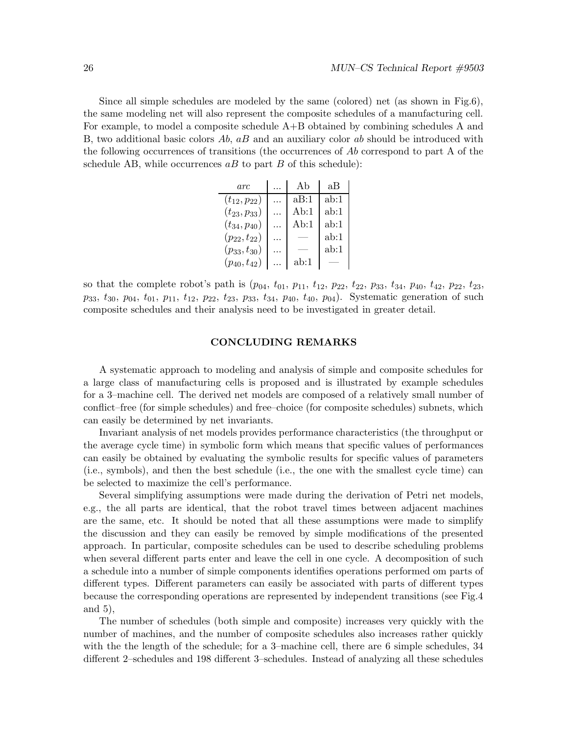Since all simple schedules are modeled by the same (colored) net (as shown in Fig.6), the same modeling net will also represent the composite schedules of a manufacturing cell. For example, to model a composite schedule A+B obtained by combining schedules A and B, two additional basic colors  $Ab$ ,  $aB$  and an auxiliary color  $ab$  should be introduced with the following occurrences of transitions (the occurrences of Ab correspond to part A of the schedule AB, while occurrences  $aB$  to part B of this schedule):

| arc                | Ab   | aВ   |
|--------------------|------|------|
| $(t_{12}, p_{22})$ | aB:1 | ab:1 |
| $(t_{23}, p_{33})$ | Ab:1 | ab:1 |
| $(t_{34}, p_{40})$ | Ab:1 | ab:1 |
| $(p_{22}, t_{22})$ |      | ab:1 |
| $(p_{33}, t_{30})$ |      | ab:1 |
| $(p_{40}, t_{42})$ | ab:1 |      |

so that the complete robot's path is  $(p_{04}, t_{01}, p_{11}, t_{12}, p_{22}, t_{22}, p_{33}, t_{34}, p_{40}, t_{42}, p_{22}, t_{23},$  $p_{33}$ ,  $t_{30}$ ,  $p_{04}$ ,  $t_{01}$ ,  $p_{11}$ ,  $t_{12}$ ,  $p_{22}$ ,  $t_{23}$ ,  $p_{33}$ ,  $t_{34}$ ,  $p_{40}$ ,  $t_{40}$ ,  $p_{04}$ ). Systematic generation of such composite schedules and their analysis need to be investigated in greater detail.

# CONCLUDING REMARKS

A systematic approach to modeling and analysis of simple and composite schedules for a large class of manufacturing cells is proposed and is illustrated by example schedules for a 3–machine cell. The derived net models are composed of a relatively small number of conflict–free (for simple schedules) and free–choice (for composite schedules) subnets, which can easily be determined by net invariants.

Invariant analysis of net models provides performance characteristics (the throughput or the average cycle time) in symbolic form which means that specific values of performances can easily be obtained by evaluating the symbolic results for specific values of parameters (i.e., symbols), and then the best schedule (i.e., the one with the smallest cycle time) can be selected to maximize the cell's performance.

Several simplifying assumptions were made during the derivation of Petri net models, e.g., the all parts are identical, that the robot travel times between adjacent machines are the same, etc. It should be noted that all these assumptions were made to simplify the discussion and they can easily be removed by simple modifications of the presented approach. In particular, composite schedules can be used to describe scheduling problems when several different parts enter and leave the cell in one cycle. A decomposition of such a schedule into a number of simple components identifies operations performed om parts of different types. Different parameters can easily be associated with parts of different types because the corresponding operations are represented by independent transitions (see Fig.4 and 5),

The number of schedules (both simple and composite) increases very quickly with the number of machines, and the number of composite schedules also increases rather quickly with the the length of the schedule; for a 3–machine cell, there are 6 simple schedules, 34 different 2–schedules and 198 different 3–schedules. Instead of analyzing all these schedules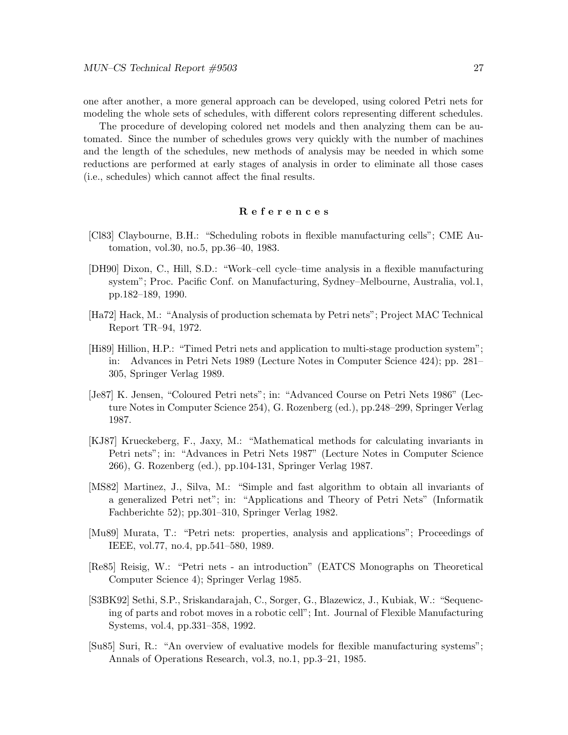one after another, a more general approach can be developed, using colored Petri nets for modeling the whole sets of schedules, with different colors representing different schedules.

The procedure of developing colored net models and then analyzing them can be automated. Since the number of schedules grows very quickly with the number of machines and the length of the schedules, new methods of analysis may be needed in which some reductions are performed at early stages of analysis in order to eliminate all those cases (i.e., schedules) which cannot affect the final results.

# R e f e r e n c e s

- [Cl83] Claybourne, B.H.: "Scheduling robots in flexible manufacturing cells"; CME Automation, vol.30, no.5, pp.36–40, 1983.
- [DH90] Dixon, C., Hill, S.D.: "Work–cell cycle–time analysis in a flexible manufacturing system"; Proc. Pacific Conf. on Manufacturing, Sydney–Melbourne, Australia, vol.1, pp.182–189, 1990.
- [Ha72] Hack, M.: "Analysis of production schemata by Petri nets"; Project MAC Technical Report TR–94, 1972.
- [Hi89] Hillion, H.P.: "Timed Petri nets and application to multi-stage production system"; in: Advances in Petri Nets 1989 (Lecture Notes in Computer Science 424); pp. 281– 305, Springer Verlag 1989.
- [Je87] K. Jensen, "Coloured Petri nets"; in: "Advanced Course on Petri Nets 1986" (Lecture Notes in Computer Science 254), G. Rozenberg (ed.), pp.248–299, Springer Verlag 1987.
- [KJ87] Krueckeberg, F., Jaxy, M.: "Mathematical methods for calculating invariants in Petri nets"; in: "Advances in Petri Nets 1987" (Lecture Notes in Computer Science 266), G. Rozenberg (ed.), pp.104-131, Springer Verlag 1987.
- [MS82] Martinez, J., Silva, M.: "Simple and fast algorithm to obtain all invariants of a generalized Petri net"; in: "Applications and Theory of Petri Nets" (Informatik Fachberichte 52); pp.301–310, Springer Verlag 1982.
- [Mu89] Murata, T.: "Petri nets: properties, analysis and applications"; Proceedings of IEEE, vol.77, no.4, pp.541–580, 1989.
- [Re85] Reisig, W.: "Petri nets an introduction" (EATCS Monographs on Theoretical Computer Science 4); Springer Verlag 1985.
- [S3BK92] Sethi, S.P., Sriskandarajah, C., Sorger, G., Blazewicz, J., Kubiak, W.: "Sequencing of parts and robot moves in a robotic cell"; Int. Journal of Flexible Manufacturing Systems, vol.4, pp.331–358, 1992.
- [Su85] Suri, R.: "An overview of evaluative models for flexible manufacturing systems"; Annals of Operations Research, vol.3, no.1, pp.3–21, 1985.